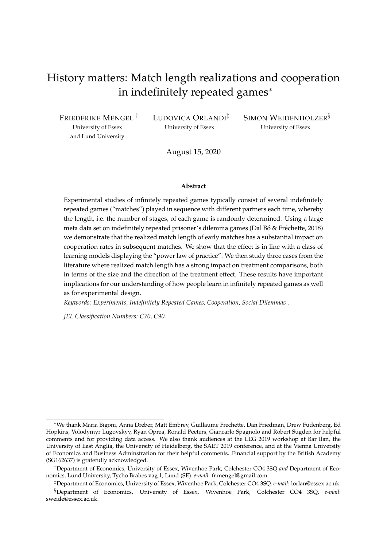# History matters: Match length realizations and cooperation in indefinitely repeated games<sup>∗</sup>

FRIEDERIKE MENGEL † University of Essex and Lund University

LUDOVICA ORLANDI‡ University of Essex

SIMON WEIDENHOLZER<sup>§</sup> University of Essex

August 15, 2020

#### **Abstract**

Experimental studies of infinitely repeated games typically consist of several indefinitely repeated games ("matches") played in sequence with different partners each time, whereby the length, i.e. the number of stages, of each game is randomly determined. Using a large meta data set on indefinitely repeated prisoner's dilemma games (Dal Bó & Fréchette, 2018) we demonstrate that the realized match length of early matches has a substantial impact on cooperation rates in subsequent matches. We show that the effect is in line with a class of learning models displaying the "power law of practice". We then study three cases from the literature where realized match length has a strong impact on treatment comparisons, both in terms of the size and the direction of the treatment effect. These results have important implications for our understanding of how people learn in infinitely repeated games as well as for experimental design.

*Keywords: Experiments, Indefinitely Repeated Games, Cooperation, Social Dilemmas* .

*JEL Classification Numbers: C70, C90.* .

<sup>∗</sup>We thank Maria Bigoni, Anna Dreber, Matt Embrey, Guillaume Frechette, Dan Friedman, Drew Fudenberg, Ed Hopkins, Volodymyr Lugovskyy, Ryan Oprea, Ronald Peeters, Giancarlo Spagnolo and Robert Sugden for helpful comments and for providing data access. We also thank audiences at the LEG 2019 workshop at Bar Ilan, the University of East Anglia, the University of Heidelberg, the SAET 2019 conference, and at the Vienna University of Economics and Business Adminstration for their helpful comments. Financial support by the British Academy (SG162637) is gratefully acknowledged.

<sup>†</sup>Department of Economics, University of Essex, Wivenhoe Park, Colchester CO4 3SQ *and* Department of Economics, Lund University, Tycho Brahes vag 1, Lund (SE). *e-mail*: fr.mengel@gmail.com.

<sup>‡</sup>Department of Economics, University of Essex, Wivenhoe Park, Colchester CO4 3SQ. *e-mail*: lorlan@essex.ac.uk. §Department of Economics, University of Essex, Wivenhoe Park, Colchester CO4 3SQ. *e-mail*: sweide@essex.ac.uk.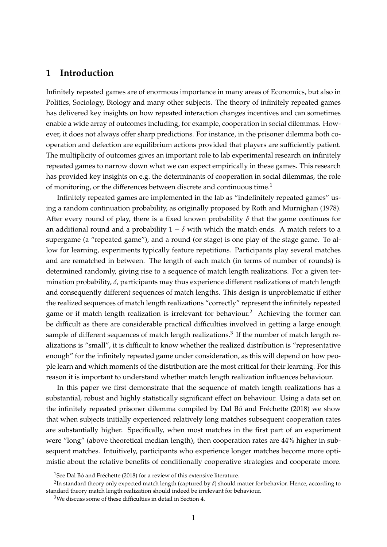## **1 Introduction**

Infinitely repeated games are of enormous importance in many areas of Economics, but also in Politics, Sociology, Biology and many other subjects. The theory of infinitely repeated games has delivered key insights on how repeated interaction changes incentives and can sometimes enable a wide array of outcomes including, for example, cooperation in social dilemmas. However, it does not always offer sharp predictions. For instance, in the prisoner dilemma both cooperation and defection are equilibrium actions provided that players are sufficiently patient. The multiplicity of outcomes gives an important role to lab experimental research on infinitely repeated games to narrow down what we can expect empirically in these games. This research has provided key insights on e.g. the determinants of cooperation in social dilemmas, the role of monitoring, or the differences between discrete and continuous time.<sup>1</sup>

Infinitely repeated games are implemented in the lab as "indefinitely repeated games" using a random continuation probability, as originally proposed by Roth and Murnighan (1978). After every round of play, there is a fixed known probability  $\delta$  that the game continues for an additional round and a probability  $1 - \delta$  with which the match ends. A match refers to a supergame (a "repeated game"), and a round (or stage) is one play of the stage game. To allow for learning, experiments typically feature repetitions. Participants play several matches and are rematched in between. The length of each match (in terms of number of rounds) is determined randomly, giving rise to a sequence of match length realizations. For a given termination probability, *δ*, participants may thus experience different realizations of match length and consequently different sequences of match lengths. This design is unproblematic if either the realized sequences of match length realizations "correctly" represent the infinitely repeated game or if match length realization is irrelevant for behaviour.<sup>2</sup> Achieving the former can be difficult as there are considerable practical difficulties involved in getting a large enough sample of different sequences of match length realizations.<sup>3</sup> If the number of match length realizations is "small", it is difficult to know whether the realized distribution is "representative enough" for the infinitely repeated game under consideration, as this will depend on how people learn and which moments of the distribution are the most critical for their learning. For this reason it is important to understand whether match length realization influences behaviour.

In this paper we first demonstrate that the sequence of match length realizations has a substantial, robust and highly statistically significant effect on behaviour. Using a data set on the infinitely repeated prisoner dilemma compiled by Dal Bó and Fréchette (2018) we show that when subjects initially experienced relatively long matches subsequent cooperation rates are substantially higher. Specifically, when most matches in the first part of an experiment were "long" (above theoretical median length), then cooperation rates are 44% higher in subsequent matches. Intuitively, participants who experience longer matches become more optimistic about the relative benefits of conditionally cooperative strategies and cooperate more.

<sup>&</sup>lt;sup>1</sup>See Dal Bó and Fréchette (2018) for a review of this extensive literature.

<sup>2</sup> In standard theory only expected match length (captured by *δ*) should matter for behavior. Hence, according to standard theory match length realization should indeed be irrelevant for behaviour.

<sup>3</sup>We discuss some of these difficulties in detail in Section 4.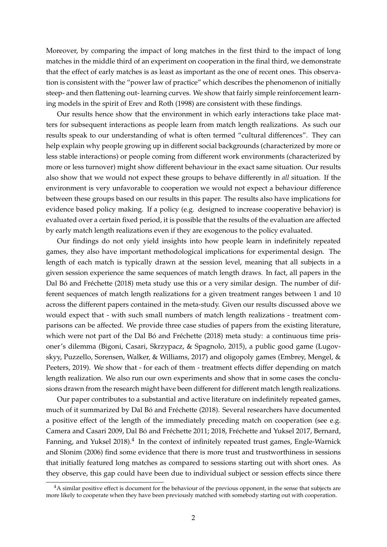Moreover, by comparing the impact of long matches in the first third to the impact of long matches in the middle third of an experiment on cooperation in the final third, we demonstrate that the effect of early matches is as least as important as the one of recent ones. This observation is consistent with the "power law of practice" which describes the phenomenon of initially steep- and then flattening out- learning curves. We show that fairly simple reinforcement learning models in the spirit of Erev and Roth (1998) are consistent with these findings.

Our results hence show that the environment in which early interactions take place matters for subsequent interactions as people learn from match length realizations. As such our results speak to our understanding of what is often termed "cultural differences". They can help explain why people growing up in different social backgrounds (characterized by more or less stable interactions) or people coming from different work environments (characterized by more or less turnover) might show different behaviour in the exact same situation. Our results also show that we would not expect these groups to behave differently in *all* situation. If the environment is very unfavorable to cooperation we would not expect a behaviour difference between these groups based on our results in this paper. The results also have implications for evidence based policy making. If a policy (e.g. designed to increase cooperative behavior) is evaluated over a certain fixed period, it is possible that the results of the evaluation are affected by early match length realizations even if they are exogenous to the policy evaluated.

Our findings do not only yield insights into how people learn in indefinitely repeated games, they also have important methodological implications for experimental design. The length of each match is typically drawn at the session level, meaning that all subjects in a given session experience the same sequences of match length draws. In fact, all papers in the Dal Bó and Fréchette (2018) meta study use this or a very similar design. The number of different sequences of match length realizations for a given treatment ranges between 1 and 10 across the different papers contained in the meta-study. Given our results discussed above we would expect that - with such small numbers of match length realizations - treatment comparisons can be affected. We provide three case studies of papers from the existing literature, which were not part of the Dal Bó and Fréchette (2018) meta study: a continuous time prisoner's dilemma (Bigoni, Casari, Skrzypacz, & Spagnolo, 2015), a public good game (Lugovskyy, Puzzello, Sorensen, Walker, & Williams, 2017) and oligopoly games (Embrey, Mengel, & Peeters, 2019). We show that - for each of them - treatment effects differ depending on match length realization. We also run our own experiments and show that in some cases the conclusions drawn from the research might have been different for different match length realizations.

Our paper contributes to a substantial and active literature on indefinitely repeated games, much of it summarized by Dal Bó and Fréchette (2018). Several researchers have documented a positive effect of the length of the immediately preceding match on cooperation (see e.g. Camera and Casari 2009, Dal Bó and Fréchette 2011; 2018, Fréchette and Yuksel 2017, Bernard, Fanning, and Yuksel 2018).<sup>4</sup> In the context of infinitely repeated trust games, Engle-Warnick and Slonim (2006) find some evidence that there is more trust and trustworthiness in sessions that initially featured long matches as compared to sessions starting out with short ones. As they observe, this gap could have been due to individual subject or session effects since there

 $4A$  similar positive effect is document for the behaviour of the previous opponent, in the sense that subjects are more likely to cooperate when they have been previously matched with somebody starting out with cooperation.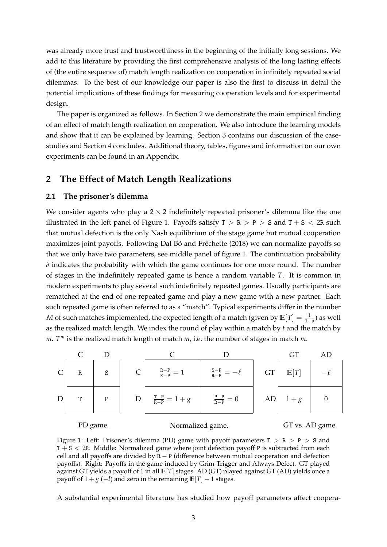was already more trust and trustworthiness in the beginning of the initially long sessions. We add to this literature by providing the first comprehensive analysis of the long lasting effects of (the entire sequence of) match length realization on cooperation in infinitely repeated social dilemmas. To the best of our knowledge our paper is also the first to discuss in detail the potential implications of these findings for measuring cooperation levels and for experimental design.

The paper is organized as follows. In Section 2 we demonstrate the main empirical finding of an effect of match length realization on cooperation. We also introduce the learning models and show that it can be explained by learning. Section 3 contains our discussion of the casestudies and Section 4 concludes. Additional theory, tables, figures and information on our own experiments can be found in an Appendix.

## **2 The Effect of Match Length Realizations**

### **2.1 The prisoner's dilemma**

We consider agents who play a  $2 \times 2$  indefinitely repeated prisoner's dilemma like the one illustrated in the left panel of Figure 1. Payoffs satisfy  $T > R > P > S$  and  $T + S < 2R$  such that mutual defection is the only Nash equilibrium of the stage game but mutual cooperation maximizes joint payoffs. Following Dal Bó and Fréchette (2018) we can normalize payoffs so that we only have two parameters, see middle panel of figure 1. The continuation probability  $\delta$  indicates the probability with which the game continues for one more round. The number of stages in the indefinitely repeated game is hence a random variable *T*. It is common in modern experiments to play several such indefinitely repeated games. Usually participants are rematched at the end of one repeated game and play a new game with a new partner. Each such repeated game is often referred to as a "match". Typical experiments differ in the number *M* of such matches implemented, the expected length of a match (given by  $\mathbb{E}[T] = \frac{1}{1-\delta}$ ) as well as the realized match length. We index the round of play within a match by *t* and the match by *m*. *T <sup>m</sup>* is the realized match length of match *m*, i.e. the number of stages in match *m*.



Figure 1: Left: Prisoner's dilemma (PD) game with payoff parameters  $T > R > P > S$  and  $T + S < 2R$ . Middle: Normalized game where joint defection payoff P is subtracted from each cell and all payoffs are divided by  $R - P$  (difference between mutual cooperation and defection payoffs). Right: Payoffs in the game induced by Grim-Trigger and Always Defect. GT played against GT yields a payoff of 1 in all **E**[*T*] stages. AD (GT) played against GT (AD) yields once a payoff of  $1 + g(-l)$  and zero in the remaining  $E[T] - 1$  stages.

A substantial experimental literature has studied how payoff parameters affect coopera-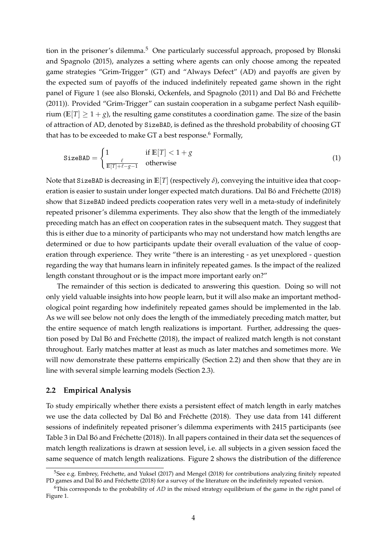tion in the prisoner's dilemma.<sup>5</sup> One particularly successful approach, proposed by Blonski and Spagnolo (2015), analyzes a setting where agents can only choose among the repeated game strategies "Grim-Trigger" (GT) and "Always Defect" (AD) and payoffs are given by the expected sum of payoffs of the induced indefinitely repeated game shown in the right panel of Figure 1 (see also Blonski, Ockenfels, and Spagnolo (2011) and Dal Bó and Fréchette (2011)). Provided "Grim-Trigger" can sustain cooperation in a subgame perfect Nash equilibrium ( $\mathbb{E}[T] > 1 + g$ ), the resulting game constitutes a coordination game. The size of the basin of attraction of AD, denoted by SizeBAD, is defined as the threshold probability of choosing GT that has to be exceeded to make GT a best response.<sup>6</sup> Formally,

$$
\text{SizeBAD} = \begin{cases} 1 & \text{if } E[T] < 1 + g \\ \frac{\ell}{E[T] + \ell - g - 1} & \text{otherwise} \end{cases} \tag{1}
$$

Note that SizeBAD is decreasing in  $\mathbb{E}[T]$  (respectively  $\delta$ ), conveying the intuitive idea that cooperation is easier to sustain under longer expected match durations. Dal Bó and Fréchette (2018) show that SizeBAD indeed predicts cooperation rates very well in a meta-study of indefinitely repeated prisoner's dilemma experiments. They also show that the length of the immediately preceding match has an effect on cooperation rates in the subsequent match. They suggest that this is either due to a minority of participants who may not understand how match lengths are determined or due to how participants update their overall evaluation of the value of cooperation through experience. They write "there is an interesting - as yet unexplored - question regarding the way that humans learn in infinitely repeated games. Is the impact of the realized length constant throughout or is the impact more important early on?"

The remainder of this section is dedicated to answering this question. Doing so will not only yield valuable insights into how people learn, but it will also make an important methodological point regarding how indefinitely repeated games should be implemented in the lab. As we will see below not only does the length of the immediately preceding match matter, but the entire sequence of match length realizations is important. Further, addressing the question posed by Dal Bó and Fréchette (2018), the impact of realized match length is not constant throughout. Early matches matter at least as much as later matches and sometimes more. We will now demonstrate these patterns empirically (Section 2.2) and then show that they are in line with several simple learning models (Section 2.3).

### **2.2 Empirical Analysis**

To study empirically whether there exists a persistent effect of match length in early matches we use the data collected by Dal Bó and Fréchette (2018). They use data from 141 different sessions of indefinitely repeated prisoner's dilemma experiments with 2415 participants (see Table 3 in Dal Bó and Fréchette (2018)). In all papers contained in their data set the sequences of match length realizations is drawn at session level, i.e. all subjects in a given session faced the same sequence of match length realizations. Figure 2 shows the distribution of the difference

 $5$ See e.g. Embrey, Fréchette, and Yuksel (2017) and Mengel (2018) for contributions analyzing finitely repeated PD games and Dal Bó and Fréchette (2018) for a survey of the literature on the indefinitely repeated version.

<sup>6</sup>This corresponds to the probability of *AD* in the mixed strategy equilibrium of the game in the right panel of Figure 1.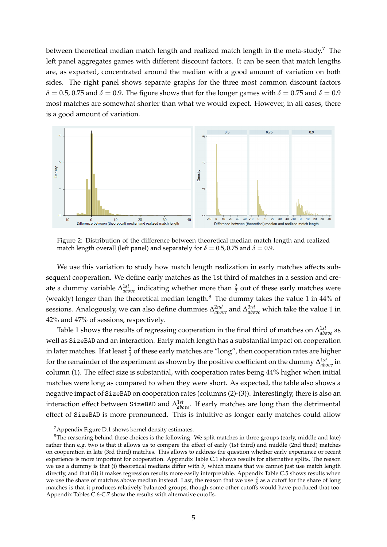between theoretical median match length and realized match length in the meta-study.<sup>7</sup> The left panel aggregates games with different discount factors. It can be seen that match lengths are, as expected, concentrated around the median with a good amount of variation on both sides. The right panel shows separate graphs for the three most common discount factors  $\delta$  = 0.5, 0.75 and  $\delta$  = 0.9. The figure shows that for the longer games with  $\delta$  = 0.75 and  $\delta$  = 0.9 most matches are somewhat shorter than what we would expect. However, in all cases, there is a good amount of variation.



Figure 2: Distribution of the difference between theoretical median match length and realized match length overall (left panel) and separately for  $\delta = 0.5, 0.75$  and  $\delta = 0.9$ .

We use this variation to study how match length realization in early matches affects subsequent cooperation. We define early matches as the 1st third of matches in a session and create a dummy variable  $\Delta_{above}^{1st}$  indicating whether more than  $\frac{2}{3}$  out of these early matches were (weakly) longer than the theoretical median length.<sup>8</sup> The dummy takes the value 1 in 44% of sessions. Analogously, we can also define dummies ∆ 2*nd above* and ∆ 3*rd above* which take the value 1 in 42% and 47% of sessions, respectively.

Table 1 shows the results of regressing cooperation in the final third of matches on ∆ 1*st above* as well as SizeBAD and an interaction. Early match length has a substantial impact on cooperation in later matches. If at least  $\frac{2}{3}$  of these early matches are "long", then cooperation rates are higher for the remainder of the experiment as shown by the positive coefficient on the dummy  $\Delta_{above}^{1st}$  in column (1). The effect size is substantial, with cooperation rates being 44% higher when initial matches were long as compared to when they were short. As expected, the table also shows a negative impact of SizeBAD on cooperation rates (columns (2)-(3)). Interestingly, there is also an interaction effect between SizeBAD and ∆ 1*st above*. If early matches are long than the detrimental effect of SizeBAD is more pronounced. This is intuitive as longer early matches could allow

<sup>&</sup>lt;sup>7</sup> Appendix Figure D.1 shows kernel density estimates.

 $8$ The reasoning behind these choices is the following. We split matches in three groups (early, middle and late) rather than e.g. two is that it allows us to compare the effect of early (1st third) and middle (2nd third) matches on cooperation in late (3rd third) matches. This allows to address the question whether early experience or recent experience is more important for cooperation. Appendix Table C.1 shows results for alternative splits. The reason we use a dummy is that (i) theoretical medians differ with  $δ$ , which means that we cannot just use match length directly, and that (ii) it makes regression results more easily interpretable. Appendix Table C.5 shows results when we use the share of matches above median instead. Last, the reason that we use  $\frac{2}{3}$  as a cutoff for the share of long matches is that it produces relatively balanced groups, though some other cutoffs would have produced that too. Appendix Tables C.6-C.7 show the results with alternative cutoffs.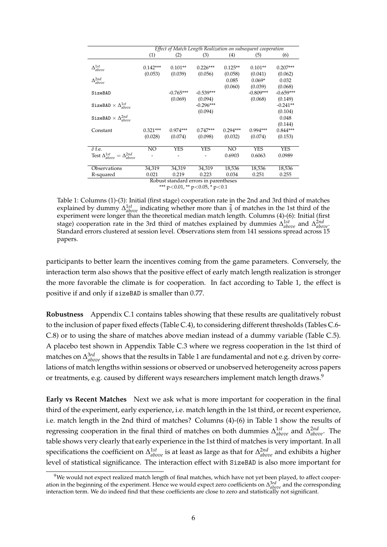|                                                    |            |             |                                        |            | Effect of Match Length Realization on subsequent cooperation |             |
|----------------------------------------------------|------------|-------------|----------------------------------------|------------|--------------------------------------------------------------|-------------|
|                                                    | (1)        | (2)         | (3)                                    | (4)        | (5)                                                          | (6)         |
|                                                    |            |             |                                        |            |                                                              |             |
| $\Delta_{above}^{1st}$                             | $0.142***$ | $0.101**$   | $0.226***$                             | $0.125**$  | $0.101**$                                                    | $0.207***$  |
|                                                    | (0.053)    | (0.039)     | (0.056)                                | (0.058)    | (0.041)                                                      | (0.062)     |
| $\Delta^{2nd}_{above}$                             |            |             |                                        | 0.085      | $0.069*$                                                     | 0.032       |
|                                                    |            |             |                                        | (0.060)    | (0.039)                                                      | (0.068)     |
| SizeBAD                                            |            | $-0.765***$ | $-0.539***$                            |            | $-0.809***$                                                  | $-0.659***$ |
|                                                    |            | (0.069)     | (0.094)                                |            | (0.068)                                                      | (0.149)     |
| SizeBAD $\times$ $\Delta^{1st}_{above}$            |            |             | $-0.296***$                            |            |                                                              | $-0.241**$  |
|                                                    |            |             | (0.094)                                |            |                                                              | (0.104)     |
| SizeBAD $\times$ $\Delta^{2nd}_{above}$            |            |             |                                        |            |                                                              | 0.048       |
|                                                    |            |             |                                        |            |                                                              | (0.144)     |
| Constant                                           | $0.321***$ | $0.974***$  | $0.747***$                             | $0.294***$ | $0.994***$                                                   | $0.844***$  |
|                                                    | (0.028)    | (0.074)     | (0.098)                                | (0.032)    | (0.074)                                                      | (0.153)     |
|                                                    |            |             |                                        |            |                                                              |             |
| $\delta$ f.e.                                      | NO         | <b>YES</b>  | <b>YES</b>                             | NO         | <b>YES</b>                                                   | <b>YES</b>  |
| Test $\Delta^{1st}_{above} = \Delta^{2nd}_{above}$ |            |             |                                        | 0.6903     | 0.6063                                                       | 0.0989      |
|                                                    |            |             |                                        |            |                                                              |             |
| Observations                                       | 34,319     | 34,319      | 34,319                                 | 18,536     | 18,536                                                       | 18,536      |
| R-squared                                          | 0.021      | 0.219       | 0.223                                  | 0.034      | 0.251                                                        | 0.255       |
|                                                    |            |             | Robust standard errors in parentheses  |            |                                                              |             |
|                                                    |            |             | *** $p<0.01$ , ** $p<0.05$ , * $p<0.1$ |            |                                                              |             |

Table 1: Columns (1)-(3): Initial (first stage) cooperation rate in the 2nd and 3rd third of matches explained by dummy  $\Delta_{above}^{1st}$  indicating whether more than  $\frac{2}{3}$  of matches in the 1st third of the experiment were longer than the theoretical median match length. Columns (4)-(6): Initial (first stage) cooperation rate in the 3rd third of matches explained by dummies  $\Delta_{above}^{1st}$  and  $\Delta_{above}^{2nd}$ . Standard errors clustered at session level. Observations stem from 141 sessions spread across 15 papers.

participants to better learn the incentives coming from the game parameters. Conversely, the interaction term also shows that the positive effect of early match length realization is stronger the more favorable the climate is for cooperation. In fact according to Table 1, the effect is positive if and only if sizeBAD is smaller than 0.77.

**Robustness** Appendix C.1 contains tables showing that these results are qualitatively robust to the inclusion of paper fixed effects (Table C.4), to considering different thresholds (Tables C.6- C.8) or to using the share of matches above median instead of a dummy variable (Table C.5). A placebo test shown in Appendix Table C.3 where we regress cooperation in the 1st third of matches on  $\Delta^{3rd}_{above}$  shows that the results in Table 1 are fundamental and not e.g. driven by correlations of match lengths within sessions or observed or unobserved heterogeneity across papers or treatments, e.g. caused by different ways researchers implement match length draws.<sup>9</sup>

**Early vs Recent Matches** Next we ask what is more important for cooperation in the final third of the experiment, early experience, i.e. match length in the 1st third, or recent experience, i.e. match length in the 2nd third of matches? Columns (4)-(6) in Table 1 show the results of regressing cooperation in the final third of matches on both dummies ∆ 1*st above* and ∆ 2*nd above*. The table shows very clearly that early experience in the 1st third of matches is very important. In all specifications the coefficient on  $\Delta^{1st}_{above}$  is at least as large as that for  $\Delta^{2nd}_{above}$  and exhibits a higher level of statistical significance. The interaction effect with SizeBAD is also more important for

 $9$ We would not expect realized match length of final matches, which have not yet been played, to affect cooperation in the beginning of the experiment. Hence we would expect zero coefficients on ∆ 3*rd above* and the corresponding interaction term. We do indeed find that these coefficients are close to zero and statistically not significant.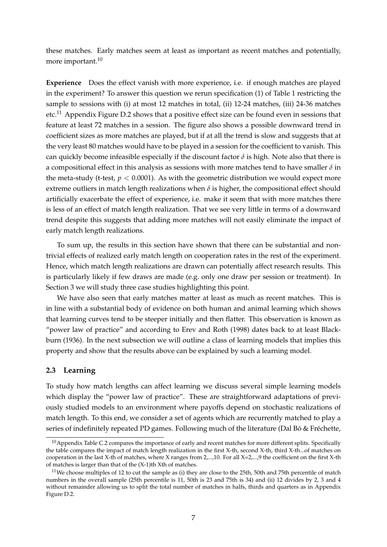these matches. Early matches seem at least as important as recent matches and potentially, more important.<sup>10</sup>

**Experience** Does the effect vanish with more experience, i.e. if enough matches are played in the experiment? To answer this question we rerun specification (1) of Table 1 restricting the sample to sessions with (i) at most 12 matches in total, (ii) 12-24 matches, (iii) 24-36 matches etc.<sup>11</sup> Appendix Figure D.2 shows that a positive effect size can be found even in sessions that feature at least 72 matches in a session. The figure also shows a possible downward trend in coefficient sizes as more matches are played, but if at all the trend is slow and suggests that at the very least 80 matches would have to be played in a session for the coefficient to vanish. This can quickly become infeasible especially if the discount factor  $\delta$  is high. Note also that there is a compositional effect in this analysis as sessions with more matches tend to have smaller *δ* in the meta-study (t-test,  $p < 0.0001$ ). As with the geometric distribution we would expect more extreme outliers in match length realizations when  $\delta$  is higher, the compositional effect should artificially exacerbate the effect of experience, i.e. make it seem that with more matches there is less of an effect of match length realization. That we see very little in terms of a downward trend despite this suggests that adding more matches will not easily eliminate the impact of early match length realizations.

To sum up, the results in this section have shown that there can be substantial and nontrivial effects of realized early match length on cooperation rates in the rest of the experiment. Hence, which match length realizations are drawn can potentially affect research results. This is particularly likely if few draws are made (e.g. only one draw per session or treatment). In Section 3 we will study three case studies highlighting this point.

We have also seen that early matches matter at least as much as recent matches. This is in line with a substantial body of evidence on both human and animal learning which shows that learning curves tend to be steeper initially and then flatter. This observation is known as "power law of practice" and according to Erev and Roth (1998) dates back to at least Blackburn (1936). In the next subsection we will outline a class of learning models that implies this property and show that the results above can be explained by such a learning model.

### **2.3 Learning**

To study how match lengths can affect learning we discuss several simple learning models which display the "power law of practice". These are straightforward adaptations of previously studied models to an environment where payoffs depend on stochastic realizations of match length. To this end, we consider a set of agents which are recurrently matched to play a series of indefinitely repeated PD games. Following much of the literature (Dal Bó & Fréchette,

 $10$ Appendix Table C.2 compares the importance of early and recent matches for more different splits. Specifically the table compares the impact of match length realization in the first X-th, second X-th, third X-th...of matches on cooperation in the last X-th of matches, where X ranges from 2,...,10. For all X=2,...,9 the coefficient on the first X-th of matches is larger than that of the (X-1)th Xth of matches.

 $11$ We choose multiples of 12 to cut the sample as (i) they are close to the 25th, 50th and 75th percentile of match numbers in the overall sample (25th percentile is 11, 50th is 23 and 75th is 34) and (ii) 12 divides by 2, 3 and 4 without remainder allowing us to split the total number of matches in halfs, thirds and quarters as in Appendix Figure D.2.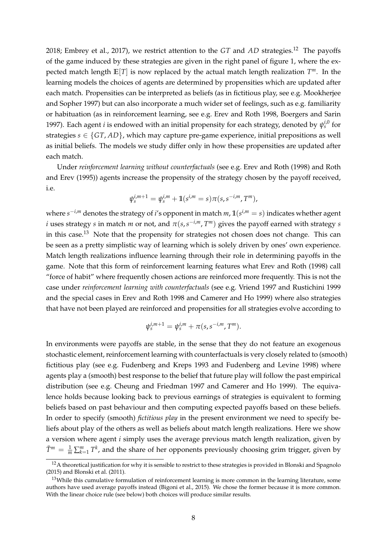2018; Embrey et al., 2017), we restrict attention to the *GT* and *AD* strategies.<sup>12</sup> The payoffs of the game induced by these strategies are given in the right panel of figure 1, where the expected match length **E**[*T*] is now replaced by the actual match length realization *T <sup>m</sup>*. In the learning models the choices of agents are determined by propensities which are updated after each match. Propensities can be interpreted as beliefs (as in fictitious play, see e.g. Mookherjee and Sopher 1997) but can also incorporate a much wider set of feelings, such as e.g. familiarity or habituation (as in reinforcement learning, see e.g. Erev and Roth 1998, Boergers and Sarin 1997). Each agent *i* is endowed with an initial propensity for each strategy, denoted by  $\psi_s^{i,0}$  for strategies  $s \in \{GT, AD\}$ , which may capture pre-game experience, initial prepositions as well as initial beliefs. The models we study differ only in how these propensities are updated after each match.

Under *reinforcement learning without counterfactuals* (see e.g. Erev and Roth (1998) and Roth and Erev (1995)) agents increase the propensity of the strategy chosen by the payoff received, i.e.

$$
\psi_s^{i,m+1} = \psi_s^{i,m} + \mathbb{1}(s^{i,m} = s)\pi(s, s^{-i,m}, T^m),
$$

where *s* <sup>−</sup>*i*,*<sup>m</sup>* denotes the strategy of *i*'s opponent in match *m*, **1**(*s <sup>i</sup>*,*<sup>m</sup>* = *s*) indicates whether agent *i* uses strategy *s* in match *m* or not, and  $\pi(s, s^{-i,m}, T^m)$  gives the payoff earned with strategy *s* in this case.<sup>13</sup> Note that the propensity for strategies not chosen does not change. This can be seen as a pretty simplistic way of learning which is solely driven by ones' own experience. Match length realizations influence learning through their role in determining payoffs in the game. Note that this form of reinforcement learning features what Erev and Roth (1998) call "force of habit" where frequently chosen actions are reinforced more frequently. This is not the case under *reinforcement learning with counterfactuals* (see e.g. Vriend 1997 and Rustichini 1999 and the special cases in Erev and Roth 1998 and Camerer and Ho 1999) where also strategies that have not been played are reinforced and propensities for all strategies evolve according to

$$
\psi_s^{i,m+1} = \psi_s^{i,m} + \pi(s, s^{-i,m}, T^m).
$$

In environments were payoffs are stable, in the sense that they do not feature an exogenous stochastic element, reinforcement learning with counterfactuals is very closely related to (smooth) fictitious play (see e.g. Fudenberg and Kreps 1993 and Fudenberg and Levine 1998) where agents play a (smooth) best response to the belief that future play will follow the past empirical distribution (see e.g. Cheung and Friedman 1997 and Camerer and Ho 1999). The equivalence holds because looking back to previous earnings of strategies is equivalent to forming beliefs based on past behaviour and then computing expected payoffs based on these beliefs. In order to specify (smooth) *fictitious play* in the present environment we need to specify beliefs about play of the others as well as beliefs about match length realizations. Here we show a version where agent *i* simply uses the average previous match length realization, given by  $\bar{T}^m = \frac{1}{m} \sum_{k=1}^m T^k$ , and the share of her opponents previously choosing grim trigger, given by

 $12A$  theoretical justification for why it is sensible to restrict to these strategies is provided in Blonski and Spagnolo (2015) and Blonski et al. (2011).

 $13$ While this cumulative formulation of reinforcement learning is more common in the learning literature, some authors have used average payoffs instead (Bigoni et al., 2015). We chose the former because it is more common. With the linear choice rule (see below) both choices will produce similar results.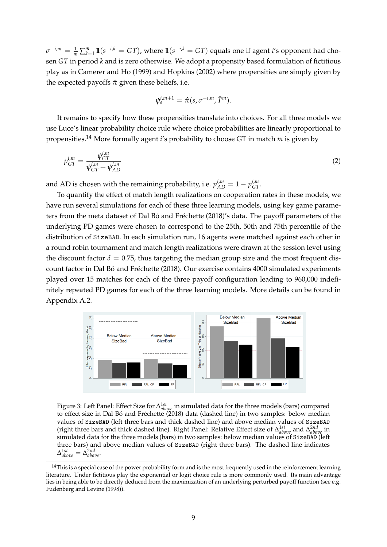$\sigma^{-i,m} = \frac{1}{m} \sum_{k=1}^{m} \mathbb{1}(s^{-i,k} = GT)$ , where  $\mathbb{1}(s^{-i,k} = GT)$  equals one if agent *i*'s opponent had chosen *GT* in period *k* and is zero otherwise. We adopt a propensity based formulation of fictitious play as in Camerer and Ho (1999) and Hopkins (2002) where propensities are simply given by the expected payoffs  $\hat{\pi}$  given these beliefs, i.e.

$$
\psi_s^{i,m+1} = \hat{\pi}(s, \sigma^{-i,m}, \bar{T}^m).
$$

It remains to specify how these propensities translate into choices. For all three models we use Luce's linear probability choice rule where choice probabilities are linearly proportional to propensities.<sup>14</sup> More formally agent *i*'s probability to choose GT in match *m* is given by

$$
p_{GT}^{i,m} = \frac{\psi_{GT}^{i,m}}{\psi_{GT}^{i,m} + \psi_{AD}^{i,m}}
$$
 (2)

and AD is chosen with the remaining probability, i.e.  $p_{AD}^{i,m} = 1 - p_{GT}^{i,m}$ .

To quantify the effect of match length realizations on cooperation rates in these models, we have run several simulations for each of these three learning models, using key game parameters from the meta dataset of Dal Bó and Fréchette (2018)'s data. The payoff parameters of the underlying PD games were chosen to correspond to the 25th, 50th and 75th percentile of the distribution of SizeBAD. In each simulation run, 16 agents were matched against each other in a round robin tournament and match length realizations were drawn at the session level using the discount factor  $\delta = 0.75$ , thus targeting the median group size and the most frequent discount factor in Dal Bó and Fréchette (2018). Our exercise contains 4000 simulated experiments played over 15 matches for each of the three payoff configuration leading to 960,000 indefinitely repeated PD games for each of the three learning models. More details can be found in Appendix A.2.



Figure 3: Left Panel: Effect Size for ∆ 1*st above* in simulated data for the three models (bars) compared to effect size in Dal Bó and Fréchette (2018) data (dashed line) in two samples: below median values of SizeBAD (left three bars and thick dashed line) and above median values of SizeBAD (right three bars and thick dashed line). Right Panel: Relative Effect size of ∆ 1*st above* and ∆ 2*nd above* in simulated data for the three models (bars) in two samples: below median values of SizeBAD (left three bars) and above median values of SizeBAD (right three bars). The dashed line indicates  $\Delta_{above}^{1st} = \Delta_{above}^{2nd}$ .

 $14$ This is a special case of the power probability form and is the most frequently used in the reinforcement learning literature. Under fictitious play the exponential or logit choice rule is more commonly used. Its main advantage lies in being able to be directly deduced from the maximization of an underlying perturbed payoff function (see e.g. Fudenberg and Levine (1998)).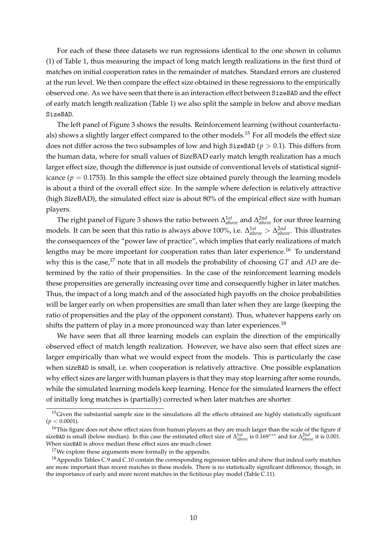For each of these three datasets we run regressions identical to the one shown in column (1) of Table 1, thus measuring the impact of long match length realizations in the first third of matches on initial cooperation rates in the remainder of matches. Standard errors are clustered at the run level. We then compare the effect size obtained in these regressions to the empirically observed one. As we have seen that there is an interaction effect between SizeBAD and the effect of early match length realization (Table 1) we also split the sample in below and above median SizeBAD.

The left panel of Figure 3 shows the results. Reinforcement learning (without counterfactuals) shows a slightly larger effect compared to the other models.<sup>15</sup> For all models the effect size does not differ across the two subsamples of low and high SizeBAD ( $p > 0.1$ ). This differs from the human data, where for small values of SizeBAD early match length realization has a much larger effect size, though the difference is just outside of conventional levels of statistical significance ( $p = 0.1753$ ). In this sample the effect size obtained purely through the learning models is about a third of the overall effect size. In the sample where defection is relatively attractive (high SizeBAD), the simulated effect size is about 80% of the empirical effect size with human players.

The right panel of Figure 3 shows the ratio between ∆ 1*st above* and ∆ 2*nd above* for our three learning models. It can be seen that this ratio is always above 100%, i.e. ∆ 1*st above* > ∆ 2*nd above*. This illustrates the consequences of the "power law of practice", which implies that early realizations of match lengths may be more important for cooperation rates than later experience.<sup>16</sup> To understand why this is the case,<sup>17</sup> note that in all models the probability of choosing *GT* and *AD* are determined by the ratio of their propensities. In the case of the reinforcement learning models these propensities are generally increasing over time and consequently higher in later matches. Thus, the impact of a long match and of the associated high payoffs on the choice probabilities will be larger early on when propensities are small than later when they are large (keeping the ratio of propensities and the play of the opponent constant). Thus, whatever happens early on shifts the pattern of play in a more pronounced way than later experiences.<sup>18</sup>

We have seen that all three learning models can explain the direction of the empirically observed effect of match length realization. However, we have also seen that effect sizes are larger empirically than what we would expect from the models. This is particularly the case when sizeBAD is small, i.e. when cooperation is relatively attractive. One possible explanation why effect sizes are larger with human players is that they may stop learning after some rounds, while the simulated learning models keep learning. Hence for the simulated learners the effect of initially long matches is (partially) corrected when later matches are shorter.

 $15$ Given the substantial sample size in the simulations all the effects obtained are highly statistically significant  $(p < 0.0001)$ .

<sup>&</sup>lt;sup>16</sup>This figure does not show effect sizes from human players as they are much larger than the scale of the figure if sizeBAD is small (below median). In this case the estimated effect size of ∆ 1*st above* is 0.169∗∗∗ and for <sup>∆</sup> 2*nd above* it is 0.001. When sizeBAD is above median these effect sizes are much closer.

<sup>&</sup>lt;sup>17</sup>We explore these arguments more formally in the appendix.

<sup>&</sup>lt;sup>18</sup> Appendix Tables C.9 and C.10 contain the corresponding regression tables and show that indeed early matches are more important than recent matches in these models. There is no statistically significant difference, though, in the importance of early and more recent matches in the fictitious play model (Table C.11).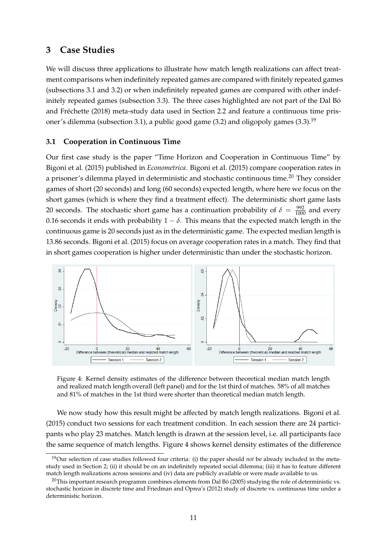## **3 Case Studies**

We will discuss three applications to illustrate how match length realizations can affect treatment comparisons when indefinitely repeated games are compared with finitely repeated games (subsections 3.1 and 3.2) or when indefinitely repeated games are compared with other indefinitely repeated games (subsection 3.3). The three cases highlighted are not part of the Dal Bó and Fréchette (2018) meta-study data used in Section 2.2 and feature a continuous time prisoner's dilemma (subsection 3.1), a public good game (3.2) and oligopoly games (3.3).<sup>19</sup>

## **3.1 Cooperation in Continuous Time**

Our first case study is the paper "Time Horizon and Cooperation in Continuous Time" by Bigoni et al. (2015) published in *Econometrica*. Bigoni et al. (2015) compare cooperation rates in a prisoner's dilemma played in deterministic and stochastic continuous time.<sup>20</sup> They consider games of short (20 seconds) and long (60 seconds) expected length, where here we focus on the short games (which is where they find a treatment effect). The deterministic short game lasts 20 seconds. The stochastic short game has a continuation probability of  $\delta = \frac{992}{1000}$  and every 0.16 seconds it ends with probability  $1 - \delta$ . This means that the expected match length in the continuous game is 20 seconds just as in the deterministic game. The expected median length is 13.86 seconds. Bigoni et al. (2015) focus on average cooperation rates in a match. They find that in short games cooperation is higher under deterministic than under the stochastic horizon.



Figure 4: Kernel density estimates of the difference between theoretical median match length and realized match length overall (left panel) and for the 1st third of matches. 58% of all matches and 81% of matches in the 1st third were shorter than theoretical median match length.

We now study how this result might be affected by match length realizations. Bigoni et al. (2015) conduct two sessions for each treatment condition. In each session there are 24 participants who play 23 matches. Match length is drawn at the session level, i.e. all participants face the same sequence of match lengths. Figure 4 shows kernel density estimates of the difference

<sup>19</sup>Our selection of case studies followed four criteria: (i) the paper should *not* be already included in the metastudy used in Section 2; (ii) it should be on an indefinitely repeated social dilemma; (iii) it has to feature different match length realizations across sessions and (iv) data are publicly available or were made available to us.

 $^{20}$ This important research programm combines elements from Dal Bó (2005) studying the role of deterministic vs. stochastic horizon in discrete time and Friedman and Oprea's (2012) study of discrete vs. continuous time under a deterministic horizon.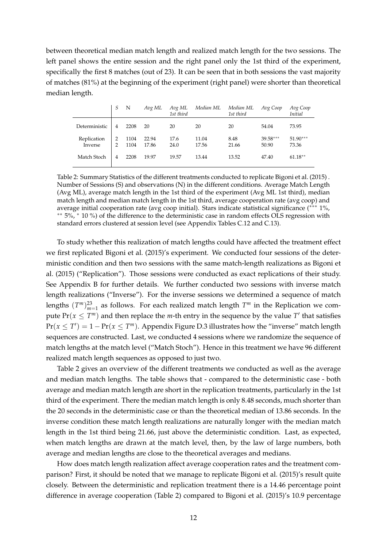between theoretical median match length and realized match length for the two sessions. The left panel shows the entire session and the right panel only the 1st third of the experiment, specifically the first 8 matches (out of 23). It can be seen that in both sessions the vast majority of matches (81%) at the beginning of the experiment (right panel) were shorter than theoretical median length.

|                        | S             | N            | Avg ML         | Avg ML<br>1st third | Median ML      | Median ML<br>1st third | Avg Coop            | Avg Coop<br>Initial |
|------------------------|---------------|--------------|----------------|---------------------|----------------|------------------------|---------------------|---------------------|
| Deterministic          | 4             | 2208         | 20             | 20                  | 20             | 20                     | 54.04               | 73.95               |
| Replication<br>Inverse | $\mathcal{P}$ | 1104<br>1104 | 22.94<br>17.86 | 17.6<br>24.0        | 11.04<br>17.56 | 8.48<br>21.66          | $39.58***$<br>50.90 | $51.90***$<br>73.36 |
| Match Stoch            | 4             | 2208         | 19.97          | 19.57               | 13.44          | 13.52                  | 47.40               | $61.18**$           |

Table 2: Summary Statistics of the different treatments conducted to replicate Bigoni et al. (2015) . Number of Sessions (S) and observations (N) in the different conditions. Average Match Length (Avg ML), average match length in the 1st third of the experiment (Avg ML 1st third), median match length and median match length in the 1st third, average cooperation rate (avg coop) and average initial cooperation rate (avg coop initial). Stars indicate statistical significance (∗∗∗ 1%, ∗∗ 5%, <sup>∗</sup> 10 %) of the difference to the deterministic case in random effects OLS regression with standard errors clustered at session level (see Appendix Tables C.12 and C.13).

To study whether this realization of match lengths could have affected the treatment effect we first replicated Bigoni et al. (2015)'s experiment. We conducted four sessions of the deterministic condition and then two sessions with the same match-length realizations as Bigoni et al. (2015) ("Replication"). Those sessions were conducted as exact replications of their study. See Appendix B for further details. We further conducted two sessions with inverse match length realizations ("Inverse"). For the inverse sessions we determined a sequence of match lengths  $(T^m)_{m=1}^{23}$  as follows. For each realized match length  $T^m$  in the Replication we compute  $Pr(x \leq T^m)$  and then replace the *m*-th entry in the sequence by the value  $T'$  that satisfies  $Pr(x \leq T') = 1 - Pr(x \leq T<sup>m</sup>)$ . Appendix Figure D.3 illustrates how the "inverse" match length sequences are constructed. Last, we conducted 4 sessions where we randomize the sequence of match lengths at the match level ("Match Stoch"). Hence in this treatment we have 96 different realized match length sequences as opposed to just two.

Table 2 gives an overview of the different treatments we conducted as well as the average and median match lengths. The table shows that - compared to the deterministic case - both average and median match length are short in the replication treatments, particularly in the 1st third of the experiment. There the median match length is only 8.48 seconds, much shorter than the 20 seconds in the deterministic case or than the theoretical median of 13.86 seconds. In the inverse condition these match length realizations are naturally longer with the median match length in the 1st third being 21.66, just above the deterministic condition. Last, as expected, when match lengths are drawn at the match level, then, by the law of large numbers, both average and median lengths are close to the theoretical averages and medians.

How does match length realization affect average cooperation rates and the treatment comparison? First, it should be noted that we manage to replicate Bigoni et al. (2015)'s result quite closely. Between the deterministic and replication treatment there is a 14.46 percentage point difference in average cooperation (Table 2) compared to Bigoni et al. (2015)'s 10.9 percentage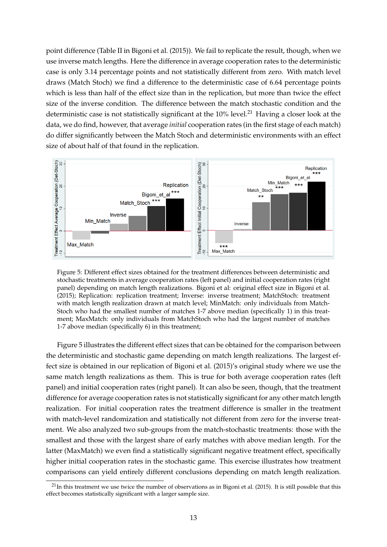point difference (Table II in Bigoni et al. (2015)). We fail to replicate the result, though, when we use inverse match lengths. Here the difference in average cooperation rates to the deterministic case is only 3.14 percentage points and not statistically different from zero. With match level draws (Match Stoch) we find a difference to the deterministic case of 6.64 percentage points which is less than half of the effect size than in the replication, but more than twice the effect size of the inverse condition. The difference between the match stochastic condition and the deterministic case is not statistically significant at the  $10\%$  level.<sup>21</sup> Having a closer look at the data, we do find, however, that average *initial* cooperation rates (in the first stage of each match) do differ significantly between the Match Stoch and deterministic environments with an effect size of about half of that found in the replication.



Figure 5: Different effect sizes obtained for the treatment differences between deterministic and stochastic treatments in average cooperation rates (left panel) and initial cooperation rates (right panel) depending on match length realizations. Bigoni et al: original effect size in Bigoni et al. (2015); Replication: replication treatment; Inverse: inverse treatment; MatchStoch: treatment with match length realization drawn at match level; MinMatch: only individuals from Match-Stoch who had the smallest number of matches 1-7 above median (specifically 1) in this treatment; MaxMatch: only individuals from MatchStoch who had the largest number of matches 1-7 above median (specifically 6) in this treatment;

Figure 5 illustrates the different effect sizes that can be obtained for the comparison between the deterministic and stochastic game depending on match length realizations. The largest effect size is obtained in our replication of Bigoni et al. (2015)'s original study where we use the same match length realizations as them. This is true for both average cooperation rates (left panel) and initial cooperation rates (right panel). It can also be seen, though, that the treatment difference for average cooperation rates is not statistically significant for any other match length realization. For initial cooperation rates the treatment difference is smaller in the treatment with match-level randomization and statistically not different from zero for the inverse treatment. We also analyzed two sub-groups from the match-stochastic treatments: those with the smallest and those with the largest share of early matches with above median length. For the latter (MaxMatch) we even find a statistically significant negative treatment effect, specifically higher initial cooperation rates in the stochastic game. This exercise illustrates how treatment comparisons can yield entirely different conclusions depending on match length realization.

 $^{21}$ In this treatment we use twice the number of observations as in Bigoni et al. (2015). It is still possible that this effect becomes statistically significant with a larger sample size.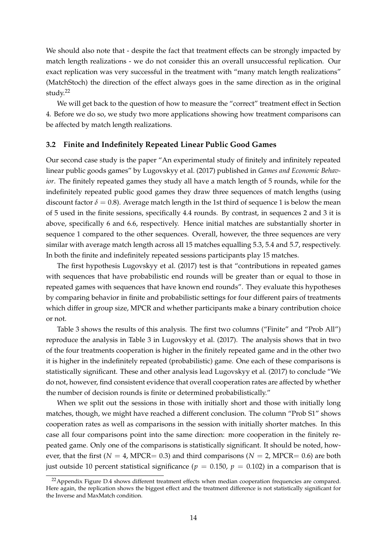We should also note that - despite the fact that treatment effects can be strongly impacted by match length realizations - we do not consider this an overall unsuccessful replication. Our exact replication was very successful in the treatment with "many match length realizations" (MatchStoch) the direction of the effect always goes in the same direction as in the original study.<sup>22</sup>

We will get back to the question of how to measure the "correct" treatment effect in Section 4. Before we do so, we study two more applications showing how treatment comparisons can be affected by match length realizations.

### **3.2 Finite and Indefinitely Repeated Linear Public Good Games**

Our second case study is the paper "An experimental study of finitely and infinitely repeated linear public goods games" by Lugovskyy et al. (2017) published in *Games and Economic Behavior*. The finitely repeated games they study all have a match length of 5 rounds, while for the indefinitely repeated public good games they draw three sequences of match lengths (using discount factor  $\delta = 0.8$ ). Average match length in the 1st third of sequence 1 is below the mean of 5 used in the finite sessions, specifically 4.4 rounds. By contrast, in sequences 2 and 3 it is above, specifically 6 and 6.6, respectively. Hence initial matches are substantially shorter in sequence 1 compared to the other sequences. Overall, however, the three sequences are very similar with average match length across all 15 matches equalling 5.3, 5.4 and 5.7, respectively. In both the finite and indefinitely repeated sessions participants play 15 matches.

The first hypothesis Lugovskyy et al. (2017) test is that "contributions in repeated games with sequences that have probabilistic end rounds will be greater than or equal to those in repeated games with sequences that have known end rounds". They evaluate this hypotheses by comparing behavior in finite and probabilistic settings for four different pairs of treatments which differ in group size, MPCR and whether participants make a binary contribution choice or not.

Table 3 shows the results of this analysis. The first two columns ("Finite" and "Prob All") reproduce the analysis in Table 3 in Lugovskyy et al. (2017). The analysis shows that in two of the four treatments cooperation is higher in the finitely repeated game and in the other two it is higher in the indefinitely repeated (probabilistic) game. One each of these comparisons is statistically significant. These and other analysis lead Lugovskyy et al. (2017) to conclude "We do not, however, find consistent evidence that overall cooperation rates are affected by whether the number of decision rounds is finite or determined probabilistically."

When we split out the sessions in those with initially short and those with initially long matches, though, we might have reached a different conclusion. The column "Prob S1" shows cooperation rates as well as comparisons in the session with initially shorter matches. In this case all four comparisons point into the same direction: more cooperation in the finitely repeated game. Only one of the comparisons is statistically significant. It should be noted, however, that the first ( $N = 4$ , MPCR= 0.3) and third comparisons ( $N = 2$ , MPCR= 0.6) are both just outside 10 percent statistical significance ( $p = 0.150$ ,  $p = 0.102$ ) in a comparison that is

 $^{22}$ Appendix Figure D.4 shows different treatment effects when median cooperation frequencies are compared. Here again, the replication shows the biggest effect and the treatment difference is not statistically significant for the Inverse and MaxMatch condition.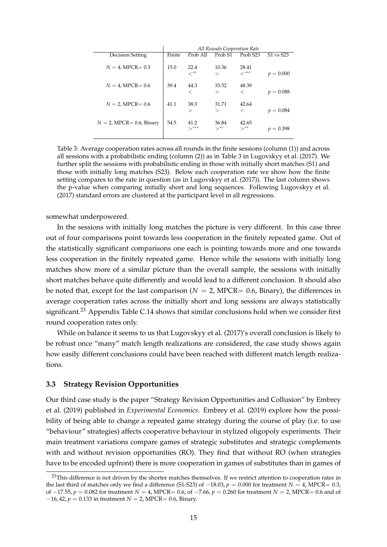|                             |        |                        | All Rounds Cooperation Rate |                             |             |
|-----------------------------|--------|------------------------|-----------------------------|-----------------------------|-------------|
| Decision Setting            | Finite | Prob All               | Prob <sub>S1</sub>          | Prob <sub>S23</sub>         | S1 vs S23   |
| $N = 4$ , MPCR= 0.3         | 15.0   | 22.4<br>$<^{\ast\ast}$ | 10.36<br>>                  | 28.41<br>$\checkmark^{***}$ | $p = 0.000$ |
| $N = 4$ , MPCR= 0.6         | 39.4   | 44.3<br>$\,<\,$        | 33.52<br>>                  | 48.39<br>$\,<\,$            | $p = 0.088$ |
|                             |        |                        |                             |                             |             |
| $N = 2$ , MPCR= 0.6         | 41.1   | 38.3                   | 31.71                       | 42.64                       |             |
|                             |        | $\rm{>}$               | $\rm{>}$                    | $\,<\,$                     | $p = 0.084$ |
| $N = 2$ , MPCR= 0.6, Binary | 54.5   | 41.2<br>$\searrow$ *** | 36.84<br>$\searrow$ **      | 42.65<br>$>***$             | $p = 0.398$ |

Table 3: Average cooperation rates across all rounds in the finite sessions (column (1)) and across all sessions with a probabilistic ending (column (2)) as in Table 3 in Lugovskyy et al. (2017). We further split the sessions with probabilistic ending in those with initially short matches (S1) and those with initially long matches (S23). Below each cooperation rate we show how the finite setting compares to the rate in question (as in Lugovskyy et al. (2017)). The last column shows the p-value when comparing initially short and long sequences. Following Lugovskyy et al. (2017) standard errors are clustered at the participant level in all regressions.

somewhat underpowered.

In the sessions with initially long matches the picture is very different. In this case three out of four comparisons point towards less cooperation in the finitely repeated game. Out of the statistically significant comparisons one each is pointing towards more and one towards less cooperation in the finitely repeated game. Hence while the sessions with initially long matches show more of a similar picture than the overall sample, the sessions with initially short matches behave quite differently and would lead to a different conclusion. It should also be noted that, except for the last comparison ( $N = 2$ , MPCR= 0.6, Binary), the differences in average cooperation rates across the initially short and long sessions are always statistically significant.<sup>23</sup> Appendix Table C.14 shows that similar conclusions hold when we consider first round cooperation rates only.

While on balance it seems to us that Lugovskyy et al. (2017)'s overall conclusion is likely to be robust once "many" match length realizations are considered, the case study shows again how easily different conclusions could have been reached with different match length realizations.

### **3.3 Strategy Revision Opportunities**

Our third case study is the paper "Strategy Revision Opportunities and Collusion" by Embrey et al. (2019) published in *Experimental Economics*. Embrey et al. (2019) explore how the possibility of being able to change a repeated game strategy during the course of play (i.e. to use "behaviour" strategies) affects cooperative behaviour in stylized oligopoly experiments. Their main treatment variations compare games of strategic substitutes and strategic complements with and without revision opportunities (RO). They find that without RO (when strategies have to be encoded upfront) there is more cooperation in games of substitutes than in games of

<sup>&</sup>lt;sup>23</sup>This difference is not driven by the shorter matches themselves. If we restrict attention to cooperation rates in the last third of matches only we find a difference (S1-S23) of  $-18.03$ ,  $p = 0.000$  for treatment  $N = 4$ , MPCR= 0.3, of −17.55, *p* = 0.082 for treatment *N* = 4, MPCR= 0.6, of −7.66, *p* = 0.260 for treatment *N* = 2, MPCR= 0.6 and of −16, 42, *p* = 0.133 in treatment *N* = 2, MPCR= 0.6, Binary.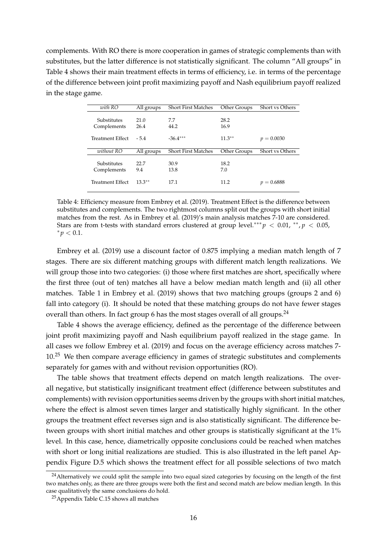complements. With RO there is more cooperation in games of strategic complements than with substitutes, but the latter difference is not statistically significant. The column "All groups" in Table 4 shows their main treatment effects in terms of efficiency, i.e. in terms of the percentage of the difference between joint profit maximizing payoff and Nash equilibrium payoff realized in the stage game.

| with RO          | All groups | <b>Short First Matches</b> | Other Groups | <b>Short vs Others</b> |
|------------------|------------|----------------------------|--------------|------------------------|
|                  |            |                            |              |                        |
| Substitutes      | 21.0       | 7.7                        | 28.2         |                        |
| Complements      | 26.4       | 44.2                       | 16.9         |                        |
|                  |            |                            |              |                        |
| Treatment Effect | $-5.4$     | $-36.4***$                 | $11.3***$    | $p = 0.0030$           |
|                  |            |                            |              |                        |
|                  |            |                            |              |                        |
| without RO       | All groups | <b>Short First Matches</b> | Other Groups | Short vs Others        |
|                  |            |                            |              |                        |
| Substitutes      | 22.7       | 30.9                       | 18.2         |                        |
| Complements      | 9.4        | 13.8                       | 7.0          |                        |
|                  |            |                            |              |                        |
| Treatment Effect | $13.3***$  | 17.1                       | 11.2         | $p = 0.6888$           |

Table 4: Efficiency measure from Embrey et al. (2019). Treatment Effect is the difference between substitutes and complements. The two rightmost columns split out the groups with short initial matches from the rest. As in Embrey et al. (2019)'s main analysis matches 7-10 are considered. Stars are from t-tests with standard errors clustered at group level.<sup>\*\*\*</sup> $p$  < 0.01, \*\*,  $p$  < 0.05,  $* p < 0.1.$ 

Embrey et al. (2019) use a discount factor of 0.875 implying a median match length of 7 stages. There are six different matching groups with different match length realizations. We will group those into two categories: (i) those where first matches are short, specifically where the first three (out of ten) matches all have a below median match length and (ii) all other matches. Table 1 in Embrey et al. (2019) shows that two matching groups (groups 2 and 6) fall into category (i). It should be noted that these matching groups do not have fewer stages overall than others. In fact group 6 has the most stages overall of all groups.<sup>24</sup>

Table 4 shows the average efficiency, defined as the percentage of the difference between joint profit maximizing payoff and Nash equilibrium payoff realized in the stage game. In all cases we follow Embrey et al. (2019) and focus on the average efficiency across matches 7-  $10<sup>25</sup>$  We then compare average efficiency in games of strategic substitutes and complements separately for games with and without revision opportunities (RO).

The table shows that treatment effects depend on match length realizations. The overall negative, but statistically insignificant treatment effect (difference between substitutes and complements) with revision opportunities seems driven by the groups with short initial matches, where the effect is almost seven times larger and statistically highly significant. In the other groups the treatment effect reverses sign and is also statistically significant. The difference between groups with short initial matches and other groups is statistically significant at the 1% level. In this case, hence, diametrically opposite conclusions could be reached when matches with short or long initial realizations are studied. This is also illustrated in the left panel Appendix Figure D.5 which shows the treatment effect for all possible selections of two match

<sup>&</sup>lt;sup>24</sup> Alternatively we could split the sample into two equal sized categories by focusing on the length of the first two matches only, as there are three groups were both the first and second match are below median length. In this case qualitatively the same conclusions do hold.

<sup>25</sup>Appendix Table C.15 shows all matches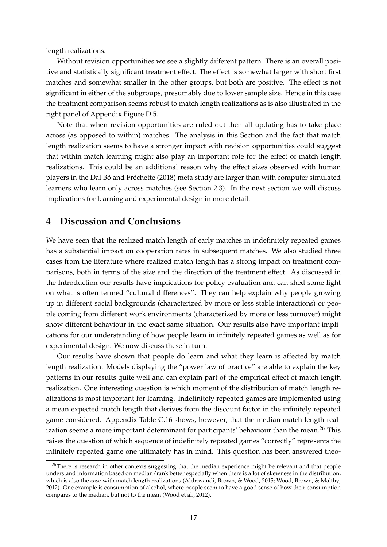length realizations.

Without revision opportunities we see a slightly different pattern. There is an overall positive and statistically significant treatment effect. The effect is somewhat larger with short first matches and somewhat smaller in the other groups, but both are positive. The effect is not significant in either of the subgroups, presumably due to lower sample size. Hence in this case the treatment comparison seems robust to match length realizations as is also illustrated in the right panel of Appendix Figure D.5.

Note that when revision opportunities are ruled out then all updating has to take place across (as opposed to within) matches. The analysis in this Section and the fact that match length realization seems to have a stronger impact with revision opportunities could suggest that within match learning might also play an important role for the effect of match length realizations. This could be an additional reason why the effect sizes observed with human players in the Dal Bó and Fréchette (2018) meta study are larger than with computer simulated learners who learn only across matches (see Section 2.3). In the next section we will discuss implications for learning and experimental design in more detail.

## **4 Discussion and Conclusions**

We have seen that the realized match length of early matches in indefinitely repeated games has a substantial impact on cooperation rates in subsequent matches. We also studied three cases from the literature where realized match length has a strong impact on treatment comparisons, both in terms of the size and the direction of the treatment effect. As discussed in the Introduction our results have implications for policy evaluation and can shed some light on what is often termed "cultural differences". They can help explain why people growing up in different social backgrounds (characterized by more or less stable interactions) or people coming from different work environments (characterized by more or less turnover) might show different behaviour in the exact same situation. Our results also have important implications for our understanding of how people learn in infinitely repeated games as well as for experimental design. We now discuss these in turn.

Our results have shown that people do learn and what they learn is affected by match length realization. Models displaying the "power law of practice" are able to explain the key patterns in our results quite well and can explain part of the empirical effect of match length realization. One interesting question is which moment of the distribution of match length realizations is most important for learning. Indefinitely repeated games are implemented using a mean expected match length that derives from the discount factor in the infinitely repeated game considered. Appendix Table C.16 shows, however, that the median match length realization seems a more important determinant for participants' behaviour than the mean.<sup>26</sup> This raises the question of which sequence of indefinitely repeated games "correctly" represents the infinitely repeated game one ultimately has in mind. This question has been answered theo-

<sup>&</sup>lt;sup>26</sup>There is research in other contexts suggesting that the median experience might be relevant and that people understand information based on median/rank better especially when there is a lot of skewness in the distribution, which is also the case with match length realizations (Aldrovandi, Brown, & Wood, 2015; Wood, Brown, & Maltby, 2012). One example is consumption of alcohol, where people seem to have a good sense of how their consumption compares to the median, but not to the mean (Wood et al., 2012).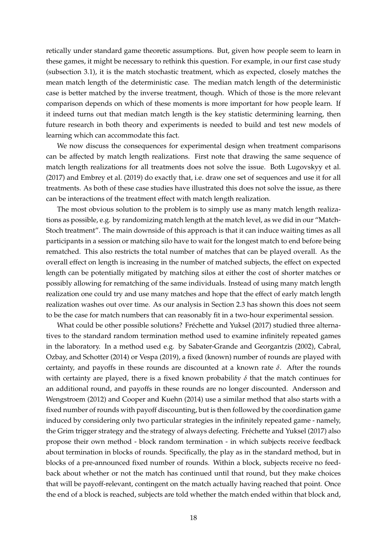retically under standard game theoretic assumptions. But, given how people seem to learn in these games, it might be necessary to rethink this question. For example, in our first case study (subsection 3.1), it is the match stochastic treatment, which as expected, closely matches the mean match length of the deterministic case. The median match length of the deterministic case is better matched by the inverse treatment, though. Which of those is the more relevant comparison depends on which of these moments is more important for how people learn. If it indeed turns out that median match length is the key statistic determining learning, then future research in both theory and experiments is needed to build and test new models of learning which can accommodate this fact.

We now discuss the consequences for experimental design when treatment comparisons can be affected by match length realizations. First note that drawing the same sequence of match length realizations for all treatments does not solve the issue. Both Lugovskyy et al. (2017) and Embrey et al. (2019) do exactly that, i.e. draw one set of sequences and use it for all treatments. As both of these case studies have illustrated this does not solve the issue, as there can be interactions of the treatment effect with match length realization.

The most obvious solution to the problem is to simply use as many match length realizations as possible, e.g. by randomizing match length at the match level, as we did in our "Match-Stoch treatment". The main downside of this approach is that it can induce waiting times as all participants in a session or matching silo have to wait for the longest match to end before being rematched. This also restricts the total number of matches that can be played overall. As the overall effect on length is increasing in the number of matched subjects, the effect on expected length can be potentially mitigated by matching silos at either the cost of shorter matches or possibly allowing for rematching of the same individuals. Instead of using many match length realization one could try and use many matches and hope that the effect of early match length realization washes out over time. As our analysis in Section 2.3 has shown this does not seem to be the case for match numbers that can reasonably fit in a two-hour experimental session.

What could be other possible solutions? Fréchette and Yuksel (2017) studied three alternatives to the standard random termination method used to examine infinitely repeated games in the laboratory. In a method used e.g. by Sabater-Grande and Georgantzis (2002), Cabral, Ozbay, and Schotter (2014) or Vespa (2019), a fixed (known) number of rounds are played with certainty, and payoffs in these rounds are discounted at a known rate  $\delta$ . After the rounds with certainty are played, there is a fixed known probability *δ* that the match continues for an additional round, and payoffs in these rounds are no longer discounted. Andersson and Wengstroem (2012) and Cooper and Kuehn (2014) use a similar method that also starts with a fixed number of rounds with payoff discounting, but is then followed by the coordination game induced by considering only two particular strategies in the infinitely repeated game - namely, the Grim trigger strategy and the strategy of always defecting. Frechette and Yuksel (2017) also ´ propose their own method - block random termination - in which subjects receive feedback about termination in blocks of rounds. Specifically, the play as in the standard method, but in blocks of a pre-announced fixed number of rounds. Within a block, subjects receive no feedback about whether or not the match has continued until that round, but they make choices that will be payoff-relevant, contingent on the match actually having reached that point. Once the end of a block is reached, subjects are told whether the match ended within that block and,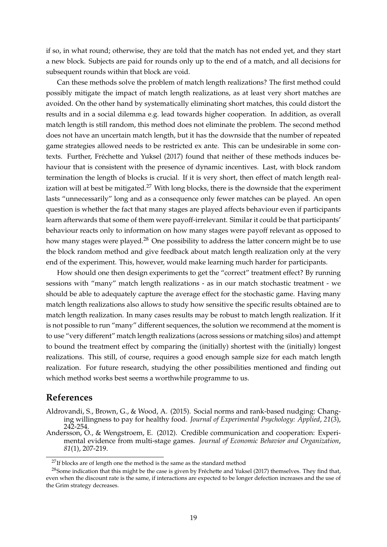if so, in what round; otherwise, they are told that the match has not ended yet, and they start a new block. Subjects are paid for rounds only up to the end of a match, and all decisions for subsequent rounds within that block are void.

Can these methods solve the problem of match length realizations? The first method could possibly mitigate the impact of match length realizations, as at least very short matches are avoided. On the other hand by systematically eliminating short matches, this could distort the results and in a social dilemma e.g. lead towards higher cooperation. In addition, as overall match length is still random, this method does not eliminate the problem. The second method does not have an uncertain match length, but it has the downside that the number of repeated game strategies allowed needs to be restricted ex ante. This can be undesirable in some contexts. Further, Fréchette and Yuksel (2017) found that neither of these methods induces behaviour that is consistent with the presence of dynamic incentives. Last, with block random termination the length of blocks is crucial. If it is very short, then effect of match length realization will at best be mitigated.<sup>27</sup> With long blocks, there is the downside that the experiment lasts "unnecessarily" long and as a consequence only fewer matches can be played. An open question is whether the fact that many stages are played affects behaviour even if participants learn afterwards that some of them were payoff-irrelevant. Similar it could be that participants' behaviour reacts only to information on how many stages were payoff relevant as opposed to how many stages were played.<sup>28</sup> One possibility to address the latter concern might be to use the block random method and give feedback about match length realization only at the very end of the experiment. This, however, would make learning much harder for participants.

How should one then design experiments to get the "correct" treatment effect? By running sessions with "many" match length realizations - as in our match stochastic treatment - we should be able to adequately capture the average effect for the stochastic game. Having many match length realizations also allows to study how sensitive the specific results obtained are to match length realization. In many cases results may be robust to match length realization. If it is not possible to run "many" different sequences, the solution we recommend at the moment is to use "very different" match length realizations (across sessions or matching silos) and attempt to bound the treatment effect by comparing the (initially) shortest with the (initially) longest realizations. This still, of course, requires a good enough sample size for each match length realization. For future research, studying the other possibilities mentioned and finding out which method works best seems a worthwhile programme to us.

## **References**

- Aldrovandi, S., Brown, G., & Wood, A. (2015). Social norms and rank-based nudging: Changing willingness to pay for healthy food. *Journal of Experimental Psychology: Applied*, *21*(3), 242-254.
- Andersson, O., & Wengstroem, E. (2012). Credible communication and cooperation: Experimental evidence from multi-stage games. *Journal of Economic Behavior and Organization*, *81*(1), 207-219.

 $^{27}{\rm If}$  blocks are of length one the method is the same as the standard method

 $^{28}$ Some indication that this might be the case is given by Fréchette and Yuksel (2017) themselves. They find that, even when the discount rate is the same, if interactions are expected to be longer defection increases and the use of the Grim strategy decreases.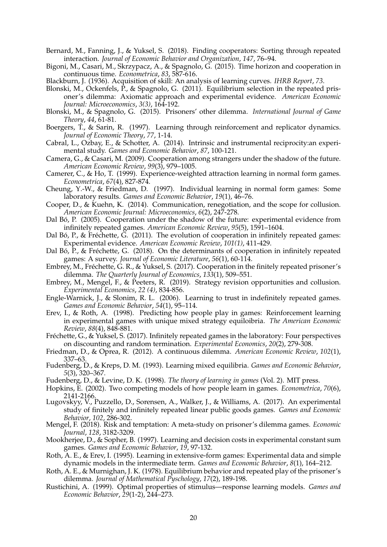- Bernard, M., Fanning, J., & Yuksel, S. (2018). Finding cooperators: Sorting through repeated interaction. *Journal of Economic Behavior and Organization*, *147*, 76–94.
- Bigoni, M., Casari, M., Skrzypacz, A., & Spagnolo, G. (2015). Time horizon and cooperation in continuous time. *Econometrica*, *83*, 587-616.
- Blackburn, J. (1936). Acquisition of skill: An analysis of learning curves. *IHRB Report*, *73*.
- Blonski, M., Ockenfels, P., & Spagnolo, G. (2011). Equilibrium selection in the repeated prisoner's dilemma: Axiomatic approach and experimental evidence. *American Economic Journal: Microeconomics*, *3(3)*, 164-192.
- Blonski, M., & Spagnolo, G. (2015). Prisoners' other dilemma. *International Journal of Game Theory*, *44*, 61-81.
- Boergers, T., & Sarin, R. (1997). Learning through reinforcement and replicator dynamics. *Journal of Economic Theory*, *77*, 1-14.
- Cabral, L., Ozbay, E., & Schotter, A. (2014). Intrinsic and instrumental reciprocity:an experimental study. *Games and Economic Behavior*, *87*, 100-121.
- Camera, G., & Casari, M. (2009). Cooperation among strangers under the shadow of the future. *American Economic Review*, *99*(3), 979–1005.
- Camerer, C., & Ho, T. (1999). Experience-weighted attraction learning in normal form games. *Econometrica*, *67*(4), 827-874.
- Cheung, Y.-W., & Friedman, D. (1997). Individual learning in normal form games: Some laboratory results. *Games and Economic Behavior*, *19*(1), 46–76.
- Cooper, D., & Kuehn, K. (2014). Communication, renegotiation, and the scope for collusion. *American Economic Journal: Microeconomics*, *6*(2), 247-278.
- Dal Bó, P. (2005). Cooperation under the shadow of the future: experimental evidence from infinitely repeated games. *American Economic Review*, *95*(5), 1591–1604.
- Dal Bó, P., & Fréchette, G. (2011). The evolution of cooperation in infinitely repeated games: Experimental evidence. *American Economic Review*, *101(1)*, 411-429.
- Dal Bó, P., & Fréchette, G. (2018). On the determinants of cooperation in infinitely repeated games: A survey. *Journal of Economic Literature*, *56*(1), 60-114.
- Embrey, M., Fréchette, G. R., & Yuksel, S. (2017). Cooperation in the finitely repeated prisoner's dilemma. *The Quarterly Journal of Economics*, *133*(1), 509–551.
- Embrey, M., Mengel, F., & Peeters, R. (2019). Strategy revision opportunities and collusion. *Experimental Economics*, *22 (4)*, 834-856.
- Engle-Warnick, J., & Slonim, R. L. (2006). Learning to trust in indefinitely repeated games. *Games and Economic Behavior*, *54*(1), 95–114.
- Erev, I., & Roth, A. (1998). Predicting how people play in games: Reinforcement learning in experimental games with unique mixed strategy equiloibria. *The American Economic Review*, *88*(4), 848-881.
- Fréchette, G., & Yuksel, S. (2017). Infinitely repeated games in the laboratory: Four perspectives on discounting and random termination. *Experimental Economics*, *20*(2), 279-308.
- Friedman, D., & Oprea, R. (2012). A continuous dilemma. *American Economic Review*, *102*(1), 337–63.
- Fudenberg, D., & Kreps, D. M. (1993). Learning mixed equilibria. *Games and Economic Behavior*, *5*(3), 320–367.
- Fudenberg, D., & Levine, D. K. (1998). *The theory of learning in games* (Vol. 2). MIT press.
- Hopkins, E. (2002). Two competing models of how people learn in games. *Econometrica*, *70*(6), 2141-2166.
- Lugovskyy, V., Puzzello, D., Sorensen, A., Walker, J., & Williams, A. (2017). An experimental study of finitely and infinitely repeated linear public goods games. *Games and Economic Behavior*, *102*, 286-302.
- Mengel, F. (2018). Risk and temptation: A meta-study on prisoner's dilemma games. *Economic Journal*, *128*, 3182-3209.
- Mookherjee, D., & Sopher, B. (1997). Learning and decision costs in experimental constant sum games. *Games and Economic Behavior*, *19*, 97-132.
- Roth, A. E., & Erev, I. (1995). Learning in extensive-form games: Experimental data and simple dynamic models in the intermediate term. *Games and Economic Behavior*, *8*(1), 164–212.
- Roth, A. E., & Murnighan, J. K. (1978). Equilibrium behavior and repeated play of the prisoner's dilemma. *Journal of Mathematical Pyschology*, *17*(2), 189-198.
- Rustichini, A. (1999). Optimal properties of stimulus—response learning models. *Games and Economic Behavior*, *29*(1-2), 244–273.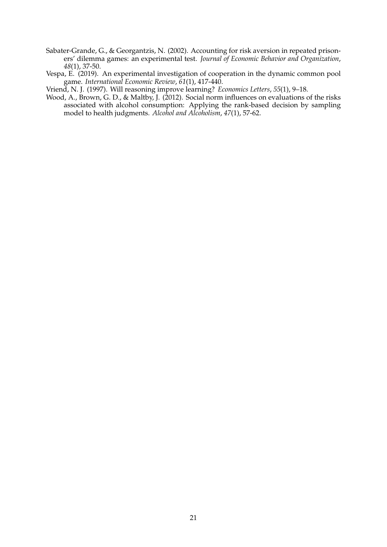- Sabater-Grande, G., & Georgantzis, N. (2002). Accounting for risk aversion in repeated prisoners' dilemma games: an experimental test. *Journal of Economic Behavior and Organization*, *48*(1), 37-50.
- Vespa, E. (2019). An experimental investigation of cooperation in the dynamic common pool game. *International Economic Review*, *61*(1), 417-440.

Vriend, N. J. (1997). Will reasoning improve learning? *Economics Letters*, *55*(1), 9–18.

Wood, A., Brown, G. D., & Maltby, J. (2012). Social norm influences on evaluations of the risks associated with alcohol consumption: Applying the rank-based decision by sampling model to health judgments. *Alcohol and Alcoholism*, *47*(1), 57-62.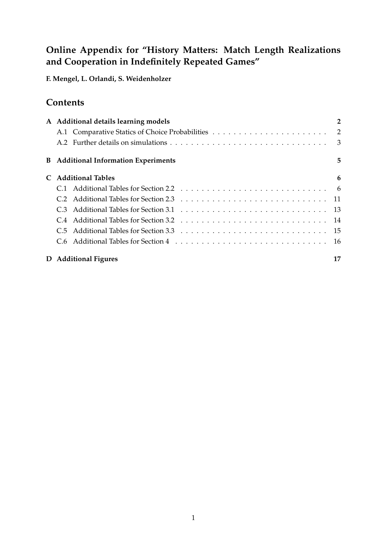# **Online Appendix for "History Matters: Match Length Realizations and Cooperation in Indefinitely Repeated Games"**

**F. Mengel, L. Orlandi, S. Weidenholzer**

## **Contents**

| A Additional details learning models        | 2  |
|---------------------------------------------|----|
|                                             |    |
|                                             |    |
| <b>B</b> Additional Information Experiments | 5  |
| <b>Additional Tables</b>                    | 6  |
|                                             |    |
|                                             |    |
|                                             |    |
|                                             |    |
|                                             |    |
|                                             |    |
| D Additional Figures                        | 17 |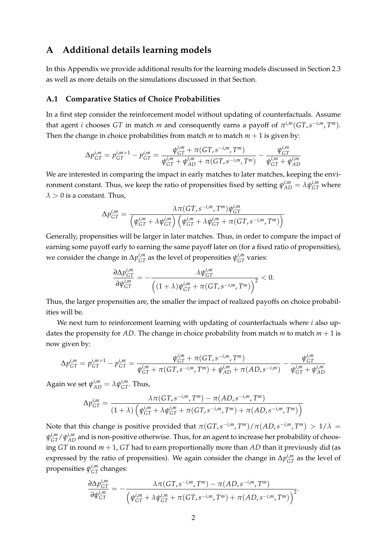## **A Additional details learning models**

In this Appendix we provide additional results for the learning models discussed in Section 2.3 as well as more details on the simulations discussed in that Section.

### **A.1 Comparative Statics of Choice Probabilities**

In a first step consider the reinforcement model without updating of counterfactuals. Assume that agent *i* chooses *GT* in match *m* and consequently earns a payoff of  $\pi^{i,m}(GT, s^{-i,m}, T^m)$ . Then the change in choice probabilities from match  $m$  to match  $m + 1$  is given by:

$$
\Delta p_{GT}^{i,m} = p_{GT}^{i,m+1} - p_{GT}^{i,m} = \frac{\psi_{GT}^{i,m} + \pi (GT, s^{-i,m}, T^m)}{\psi_{GT}^{i,m} + \psi_{AD}^{i,m} + \pi (GT, s^{-i,m}, T^m)} - \frac{\psi_{GT}^{i,m}}{\psi_{GT}^{i,m} + \psi_{AD}^{i,m}}
$$

We are interested in comparing the impact in early matches to later matches, keeping the environment constant. Thus, we keep the ratio of propensities fixed by setting  $\psi_{AD}^{i,m} = \lambda \psi_{GT}^{i,m}$  where  $\lambda > 0$  is a constant. Thus,

$$
\Delta p_{GT}^{i,m} = \frac{\lambda \pi (GT, s^{-i,m}, T^m) \psi_{GT}^{i,m}}{\left(\psi_{GT}^{i,m} + \lambda \psi_{GT}^{i,m}\right) \left(\psi_{GT}^{i,m} + \lambda \psi_{GT}^{i,m} + \pi (GT, s^{-i,m}, T^m)\right)}
$$

Generally, propensities will be larger in later matches. Thus, in order to compare the impact of earning some payoff early to earning the same payoff later on (for a fixed ratio of propensities), we consider the change in  $\Delta p_{GT}^{i,m}$  as the level of propensities  $\psi_{GT}^{i,m}$  varies:

$$
\frac{\partial \Delta p_{GT}^{i,m}}{\partial \psi_{GT}^{i,m}} = -\frac{\lambda \psi_{GT}^{i,m}}{\left((1+\lambda) \psi_{GT}^{i,m} + \pi (GT, s^{-i,m}, T^m)\right)^2} < 0.
$$

Thus, the larger propensities are, the smaller the impact of realized payoffs on choice probabilities will be.

We next turn to reinforcement learning with updating of counterfactuals where *i* also updates the propensity for *AD*. The change in choice probability from match *m* to match  $m + 1$  is now given by:

$$
\Delta p_{GT}^{i,m} = p_{GT}^{i,m+1} - p_{GT}^{i,m} = \frac{\psi_{GT}^{i,m} + \pi (GT, s^{-i,m}, T^m)}{\psi_{GT}^{i,m} + \pi (GT, s^{-i,m}, T^m) + \psi_{AD}^{i,m} + \pi (AD, s^{-i,m})} - \frac{\psi_{GT}^{i,m}}{\psi_{GT}^{i,m} + \psi_{AD}^{i,m}}
$$

Again we set  $\psi_{AD}^{i,m} = \lambda \psi_{GT}^{i,m}$ . Thus,

$$
\Delta p_{GT}^{i,m} = \frac{\lambda \pi (GT, s^{-i,m}, T^m) - \pi (AD, s^{-i,m}, T^m)}{(1+\lambda) \left( \psi_{GT}^{i,m} + \lambda \psi_{GT}^{i,m} + \pi (GT, s^{-i,m}, T^m) + \pi (AD, s^{-i,m}, T^m) \right)}
$$

Note that this change is positive provided that  $\pi (GT, s^{-i,m}, T^m) / \pi (AD, s^{-i,m}, T^m) > 1/\lambda$  $\psi_{GT}^{i,m}/\psi_{AD}^{i,m}$  and is non-positive otherwise. Thus, for an agent to increase her probability of choosing *GT* in round *m* + 1, *GT* had to earn proportionally more than *AD* than it previously did (as expressed by the ratio of propensities). We again consider the change in  $\Delta p_{GT}^{i,m}$  as the level of propensities *ψ i*,*m GT* changes:

$$
\frac{\partial \Delta p_{GT}^{i,m}}{\partial \psi_{GT}^{i,m}} = -\frac{\lambda \pi (GT, s^{-i,m}, T^m) - \pi (AD, s^{-i,m}, T^m)}{\left(\psi_{GT}^{i,m} + \lambda \psi_{GT}^{i,m} + \pi (GT, s^{-i,m}, T^m) + \pi (AD, s^{-i,m}, T^m)\right)^2}.
$$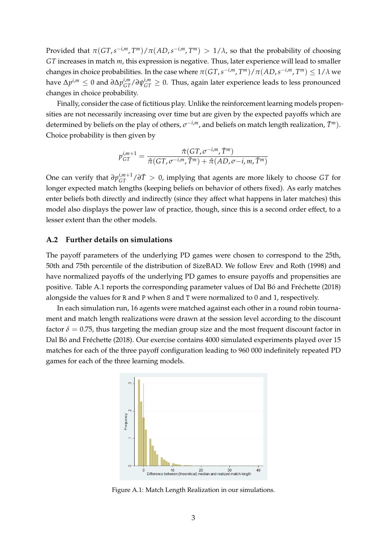Provided that  $\pi(GT, s^{-i,m}, T^m)/\pi(AD, s^{-i,m}, T^m) > 1/\lambda$ , so that the probability of choosing *GT* increases in match *m*, this expression is negative. Thus, later experience will lead to smaller changes in choice probabilities. In the case where  $\pi(GT,s^{-i,m},T^m)/\pi(AD,s^{-i,m},T^m)\leq 1/\lambda$  we  $\Delta p^{i,m}$  ≤ 0 and  $\partial \Delta p^{i,m}_{GT}/\partial \psi^{i,m}_{GT} \geq 0$ . Thus, again later experience leads to less pronounced changes in choice probability.

Finally, consider the case of fictitious play. Unlike the reinforcement learning models propensities are not necessarily increasing over time but are given by the expected payoffs which are determined by beliefs on the play of others,  $\sigma^{-i,m}$ , and beliefs on match length realization,  $\bar{T}^m$ ). Choice probability is then given by

$$
p_{GT}^{i,m+1} = \frac{\hat{\pi}(GT, \sigma^{-i,m}, \overline{T}^m)}{\hat{\pi}(GT, \sigma^{-i,m}, \overline{T}^m) + \hat{\pi}(AD, \sigma-i, m, \overline{T}^m)}
$$

One can verify that  $\partial p_{GT}^{i,m+1}/\partial T > 0$ , implying that agents are more likely to choose *GT* for longer expected match lengths (keeping beliefs on behavior of others fixed). As early matches enter beliefs both directly and indirectly (since they affect what happens in later matches) this model also displays the power law of practice, though, since this is a second order effect, to a lesser extent than the other models.

### **A.2 Further details on simulations**

The payoff parameters of the underlying PD games were chosen to correspond to the 25th, 50th and 75th percentile of the distribution of SizeBAD. We follow Erev and Roth (1998) and have normalized payoffs of the underlying PD games to ensure payoffs and propensities are positive. Table A.1 reports the corresponding parameter values of Dal Bó and Fréchette (2018) alongside the values for R and P when S and T were normalized to 0 and 1, respectively.

In each simulation run, 16 agents were matched against each other in a round robin tournament and match length realizations were drawn at the session level according to the discount factor  $\delta = 0.75$ , thus targeting the median group size and the most frequent discount factor in Dal Bó and Fréchette (2018). Our exercise contains 4000 simulated experiments played over 15 matches for each of the three payoff configuration leading to 960 000 indefinitely repeated PD games for each of the three learning models.



Figure A.1: Match Length Realization in our simulations.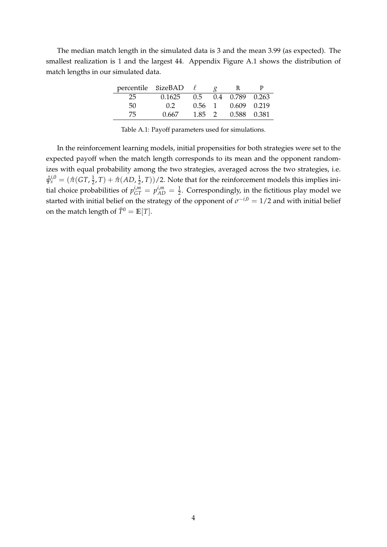The median match length in the simulated data is 3 and the mean 3.99 (as expected). The smallest realization is 1 and the largest 44. Appendix Figure A.1 shows the distribution of match lengths in our simulated data.

| percentile SizeBAD |                  |                | R.                          |  |
|--------------------|------------------|----------------|-----------------------------|--|
| 25.                | 0.1625           |                | $0.5$ $0.4$ $0.789$ $0.263$ |  |
| 50                 | 0.2 <sub>1</sub> | $0.56 \quad 1$ | 0.609 0.219                 |  |
| 75.                | 0.667            | $1.85 \quad 2$ | 0.588 0.381                 |  |

Table A.1: Payoff parameters used for simulations.

In the reinforcement learning models, initial propensities for both strategies were set to the expected payoff when the match length corresponds to its mean and the opponent randomizes with equal probability among the two strategies, averaged across the two strategies, i.e.  $\hat{\psi}_s^{i,0} = (\hat{\pi} (G T, \frac{1}{2}$  $(\frac{1}{2}, T) + \hat{\pi}(AD, \frac{1}{2})$  $(\frac{1}{2}, T)/2$ . Note that for the reinforcement models this implies initial choice probabilities of  $p_{GT}^{i,m} = p_{AD}^{i,m} = \frac{1}{2}$ . Correspondingly, in the fictitious play model we started with initial belief on the strategy of the opponent of  $\sigma^{-i,0} = 1/2$  and with initial belief on the match length of  $\overline{T}^0 = \mathbb{E}[T]$ .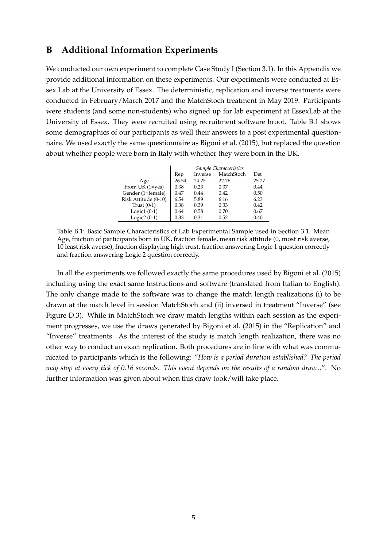## **B Additional Information Experiments**

We conducted our own experiment to complete Case Study I (Section 3.1). In this Appendix we provide additional information on these experiments. Our experiments were conducted at Essex Lab at the University of Essex. The deterministic, replication and inverse treatments were conducted in February/March 2017 and the MatchStoch treatment in May 2019. Participants were students (and some non-students) who signed up for lab experiment at EssexLab at the University of Essex. They were recruited using recruitment software hroot. Table B.1 shows some demographics of our participants as well their answers to a post experimental questionnaire. We used exactly the same questionnaire as Bigoni et al. (2015), but replaced the question about whether people were born in Italy with whether they were born in the UK.

|                      |       |         | Sample Characteristics |       |
|----------------------|-------|---------|------------------------|-------|
|                      | Rep   | Inverse | MatchStoch             | Det   |
| Age                  | 26.54 | 24.25   | 22.76                  | 25.27 |
| From UK $(1 = yes)$  | 0.38  | 0.23    | 0.37                   | 0.44  |
| Gender (1=female)    | 0.47  | 0.44    | 0.42                   | 0.50  |
| Risk Attitude (0-10) | 6.54  | 5.89    | 6.16                   | 6.23  |
| Trust $(0-1)$        | 0.38  | 0.39    | 0.33                   | 0.42  |
| Logic $1(0-1)$       | 0.64  | 0.58    | 0.70                   | 0.67  |
| Logic2 $(0-1)$       | 0.33  | 0.31    | 0.52                   | 0.40  |

Table B.1: Basic Sample Characteristics of Lab Experimental Sample used in Section 3.1. Mean Age, fraction of participants born in UK, fraction female, mean risk attitude (0, most risk averse, 10 least risk averse), fraction displaying high trust, fraction answering Logic 1 question correctly and fraction answering Logic 2 question correctly.

In all the experiments we followed exactly the same procedures used by Bigoni et al. (2015) including using the exact same Instructions and software (translated from Italian to English). The only change made to the software was to change the match length realizations (i) to be drawn at the match level in session MatchStoch and (ii) inversed in treatment "Inverse" (see Figure D.3). While in MatchStoch we draw match lengths within each session as the experiment progresses, we use the draws generated by Bigoni et al. (2015) in the "Replication" and "Inverse" treatments. As the interest of the study is match length realization, there was no other way to conduct an exact replication. Both procedures are in line with what was communicated to participants which is the following: "*How is a period duration established? The period may stop at every tick of 0.16 seconds. This event depends on the results of a random draw...*". No further information was given about when this draw took/will take place.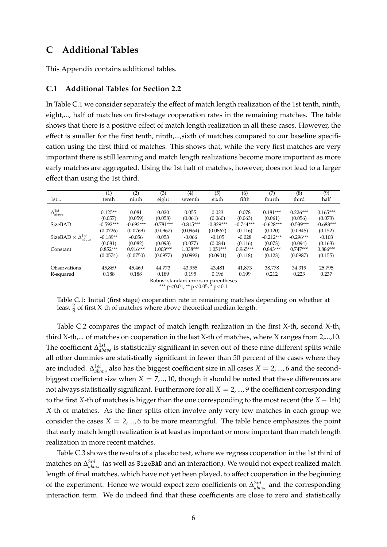## **C Additional Tables**

This Appendix contains additional tables.

### **C.1 Additional Tables for Section 2.2**

In Table C.1 we consider separately the effect of match length realization of the 1st tenth, ninth, eight,..., half of matches on first-stage cooperation rates in the remaining matches. The table shows that there is a positive effect of match length realization in all these cases. However, the effect is smaller for the first tenth, ninth,...,sixth of matches compared to our baseline specification using the first third of matches. This shows that, while the very first matches are very important there is still learning and match length realizations become more important as more early matches are aggregated. Using the 1st half of matches, however, does not lead to a larger effect than using the 1st third.

| (1)         | (2)         | (3)         | (4)                         | (5)         | (6)                 | (7)         | (8)         | (9)         |
|-------------|-------------|-------------|-----------------------------|-------------|---------------------|-------------|-------------|-------------|
| tenth       | ninth       | eight       | seventh                     | sixth       | fifth               | fourth      | third       | half        |
|             |             |             |                             |             |                     |             |             |             |
| $0.125**$   | 0.081       | 0.020       | 0.055                       | 0.023       | 0.078               | $0.181***$  | $0.226***$  | $0.165***$  |
| (0.057)     | (0.059)     | (0.058)     | (0.061)                     | (0.060)     | (0.063)             | (0.061)     | (0.056)     | (0.073)     |
| $-0.592***$ | $-0.692***$ | $-0.781***$ | $-0.815***$                 | $-0.829***$ | $-0.744***$         | $-0.628***$ | $-0.539***$ | $-0.688***$ |
| (0.0726)    | (0.0769)    | (0.0967)    | (0.0964)                    | (0.0867)    | (0.116)             | (0.120)     | (0.0945)    | (0.152)     |
| $-0.189**$  | $-0.056$    | 0.053       | $-0.066$                    | $-0.105$    | $-0.028$            | $-0.212***$ | $-0.296***$ | $-0.103$    |
| (0.081)     | (0.082)     | (0.093)     | (0.077)                     | (0.084)     | (0.116)             | (0.073)     | (0.094)     | (0.163)     |
| $0.852***$  | $0.916***$  | $1.003***$  | $1.038***$                  | $1.051***$  | $0.965***$          | $0.843***$  | $0.747***$  | $0.886***$  |
| (0.0574)    | (0.0750)    | (0.0977)    | (0.0992)                    | (0.0901)    | (0.118)             | (0.123)     | (0.0987)    | (0.155)     |
|             |             |             |                             |             |                     |             |             |             |
|             |             |             |                             |             |                     |             |             | 25,795      |
| 0.188       | 0.188       | 0.189       | 0.195                       | 0.196       | 0.199               | 0.212       | 0.223       | 0.237       |
|             | 45,869      | 45,469      | 44.773<br>$\mathbf{r}$<br>. | 43,955      | 43,481<br>$\cdot$ 1 | 41,873      | 38,778      | 34,319      |

Robust standard errors in parentheses

\*\*\* p<0.01, \*\* p<0.05,  $*$  p<0.1

Table C.1: Initial (first stage) cooperation rate in remaining matches depending on whether at least  $\frac{2}{3}$  of first X-th of matches where above theoretical median length.

Table C.2 compares the impact of match length realization in the first X-th, second X-th, third X-th,... of matches on cooperation in the last X-th of matches, where X ranges from 2,...,10. The coefficient Δ<sup>1st</sup><sub>above</sub> is statistically significant in seven out of these nine different splits while all other dummies are statistically significant in fewer than 50 percent of the cases where they are included.  $\Delta_{above}^{1st}$  also has the biggest coefficient size in all cases  $X = 2, ..., 6$  and the secondbiggest coefficient size when  $X = 7, ..., 10$ , though it should be noted that these differences are not always statistically significant. Furthermore for all  $X = 2, ..., 9$  the coefficient corresponding to the first *X*-th of matches is bigger than the one corresponding to the most recent (the *X* − 1th) *X*-th of matches. As the finer splits often involve only very few matches in each group we consider the cases  $X = 2, ..., 6$  to be more meaningful. The table hence emphasizes the point that early match length realization is at least as important or more important than match length realization in more recent matches.

Table C.3 shows the results of a placebo test, where we regress cooperation in the 1st third of matches on ∆ 3*rd above* (as well as SizeBAD and an interaction). We would not expect realized match length of final matches, which have not yet been played, to affect cooperation in the beginning of the experiment. Hence we would expect zero coefficients on ∆ 3*rd above* and the corresponding interaction term. We do indeed find that these coefficients are close to zero and statistically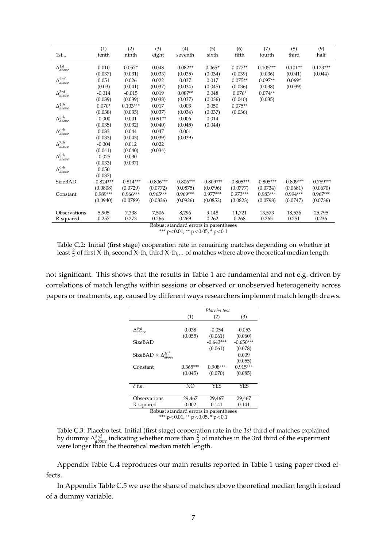| $\Delta_{above}^{1st}$<br>$0.123***$<br>0.010<br>$0.057*$<br>0.048<br>$0.082**$<br>$0.065*$<br>$0.077**$<br>$0.105***$<br>$0.101**$<br>(0.037)<br>(0.033)<br>(0.031)<br>(0.035)<br>(0.034)<br>(0.039)<br>(0.036)<br>(0.041)<br>(0.044)<br>$\Delta^{2nd}_{above}$<br>$0.075**$<br>$0.097**$<br>0.051<br>0.026<br>0.022<br>0.037<br>0.017<br>$0.069*$<br>(0.03)<br>(0.034)<br>(0.041)<br>(0.037)<br>(0.045)<br>(0.036)<br>(0.038)<br>(0.039)<br>$\Delta^{3rd}_{above}$<br>$0.087**$<br>$0.076*$<br>$0.074**$<br>$-0.014$<br>$-0.015$<br>0.019<br>0.048<br>(0.039)<br>(0.039)<br>(0.038)<br>(0.036)<br>(0.040)<br>(0.037)<br>(0.035)<br>$\Delta^{4th}_{above}$<br>$0.070*$<br>$0.103***$<br>0.017<br>0.003<br>0.050<br>$0.075**$<br>(0.038)<br>(0.037)<br>(0.034)<br>(0.037)<br>(0.036)<br>(0.035)<br>$\Delta^{5th}_{above}$<br>$-0.000$<br>0.001<br>$0.091**$<br>0.006<br>0.014<br>(0.035)<br>(0.032)<br>(0.040)<br>(0.045)<br>(0.044)<br>$\Delta^{6th}_{above}$<br>0.033<br>0.044<br>0.047<br>0.001<br>(0.033)<br>(0.043)<br>(0.039)<br>(0.039) |                        | (1)      | (2)   | $\overline{(3)}$ | (4)     | $\overline{(5)}$ | $\overline{(6)}$ | (7)    | (8)   | (9)  |
|------------------------------------------------------------------------------------------------------------------------------------------------------------------------------------------------------------------------------------------------------------------------------------------------------------------------------------------------------------------------------------------------------------------------------------------------------------------------------------------------------------------------------------------------------------------------------------------------------------------------------------------------------------------------------------------------------------------------------------------------------------------------------------------------------------------------------------------------------------------------------------------------------------------------------------------------------------------------------------------------------------------------------------------------|------------------------|----------|-------|------------------|---------|------------------|------------------|--------|-------|------|
|                                                                                                                                                                                                                                                                                                                                                                                                                                                                                                                                                                                                                                                                                                                                                                                                                                                                                                                                                                                                                                                | 1st                    | tenth    | ninth | eight            | seventh | sixth            | fifth            | fourth | third | half |
|                                                                                                                                                                                                                                                                                                                                                                                                                                                                                                                                                                                                                                                                                                                                                                                                                                                                                                                                                                                                                                                |                        |          |       |                  |         |                  |                  |        |       |      |
|                                                                                                                                                                                                                                                                                                                                                                                                                                                                                                                                                                                                                                                                                                                                                                                                                                                                                                                                                                                                                                                |                        |          |       |                  |         |                  |                  |        |       |      |
|                                                                                                                                                                                                                                                                                                                                                                                                                                                                                                                                                                                                                                                                                                                                                                                                                                                                                                                                                                                                                                                |                        |          |       |                  |         |                  |                  |        |       |      |
|                                                                                                                                                                                                                                                                                                                                                                                                                                                                                                                                                                                                                                                                                                                                                                                                                                                                                                                                                                                                                                                |                        |          |       |                  |         |                  |                  |        |       |      |
|                                                                                                                                                                                                                                                                                                                                                                                                                                                                                                                                                                                                                                                                                                                                                                                                                                                                                                                                                                                                                                                |                        |          |       |                  |         |                  |                  |        |       |      |
|                                                                                                                                                                                                                                                                                                                                                                                                                                                                                                                                                                                                                                                                                                                                                                                                                                                                                                                                                                                                                                                |                        |          |       |                  |         |                  |                  |        |       |      |
|                                                                                                                                                                                                                                                                                                                                                                                                                                                                                                                                                                                                                                                                                                                                                                                                                                                                                                                                                                                                                                                |                        |          |       |                  |         |                  |                  |        |       |      |
|                                                                                                                                                                                                                                                                                                                                                                                                                                                                                                                                                                                                                                                                                                                                                                                                                                                                                                                                                                                                                                                |                        |          |       |                  |         |                  |                  |        |       |      |
|                                                                                                                                                                                                                                                                                                                                                                                                                                                                                                                                                                                                                                                                                                                                                                                                                                                                                                                                                                                                                                                |                        |          |       |                  |         |                  |                  |        |       |      |
|                                                                                                                                                                                                                                                                                                                                                                                                                                                                                                                                                                                                                                                                                                                                                                                                                                                                                                                                                                                                                                                |                        |          |       |                  |         |                  |                  |        |       |      |
|                                                                                                                                                                                                                                                                                                                                                                                                                                                                                                                                                                                                                                                                                                                                                                                                                                                                                                                                                                                                                                                |                        |          |       |                  |         |                  |                  |        |       |      |
|                                                                                                                                                                                                                                                                                                                                                                                                                                                                                                                                                                                                                                                                                                                                                                                                                                                                                                                                                                                                                                                |                        |          |       |                  |         |                  |                  |        |       |      |
|                                                                                                                                                                                                                                                                                                                                                                                                                                                                                                                                                                                                                                                                                                                                                                                                                                                                                                                                                                                                                                                |                        |          |       |                  |         |                  |                  |        |       |      |
|                                                                                                                                                                                                                                                                                                                                                                                                                                                                                                                                                                                                                                                                                                                                                                                                                                                                                                                                                                                                                                                | $\Delta^{7th}_{above}$ | $-0.004$ | 0.012 | 0.022            |         |                  |                  |        |       |      |
| (0.041)<br>(0.040)<br>(0.034)                                                                                                                                                                                                                                                                                                                                                                                                                                                                                                                                                                                                                                                                                                                                                                                                                                                                                                                                                                                                                  |                        |          |       |                  |         |                  |                  |        |       |      |
| $\Delta^{8th}_{above}$<br>$-0.025$<br>0.030                                                                                                                                                                                                                                                                                                                                                                                                                                                                                                                                                                                                                                                                                                                                                                                                                                                                                                                                                                                                    |                        |          |       |                  |         |                  |                  |        |       |      |
| (0.033)<br>(0.037)                                                                                                                                                                                                                                                                                                                                                                                                                                                                                                                                                                                                                                                                                                                                                                                                                                                                                                                                                                                                                             |                        |          |       |                  |         |                  |                  |        |       |      |
| $\Delta^{9th}_{above}$<br>0.050                                                                                                                                                                                                                                                                                                                                                                                                                                                                                                                                                                                                                                                                                                                                                                                                                                                                                                                                                                                                                |                        |          |       |                  |         |                  |                  |        |       |      |
| (0.037)                                                                                                                                                                                                                                                                                                                                                                                                                                                                                                                                                                                                                                                                                                                                                                                                                                                                                                                                                                                                                                        |                        |          |       |                  |         |                  |                  |        |       |      |
| $-0.809***$<br>$-0.769***$<br>SizeBAD<br>$-0.824***$<br>$-0.814***$<br>$-0.806***$<br>$-0.806***$<br>$-0.809***$<br>$-0.805***$<br>$-0.805***$                                                                                                                                                                                                                                                                                                                                                                                                                                                                                                                                                                                                                                                                                                                                                                                                                                                                                                 |                        |          |       |                  |         |                  |                  |        |       |      |
| (0.0729)<br>(0.0796)<br>(0.0808)<br>(0.0772)<br>(0.0875)<br>(0.0777)<br>(0.0734)<br>(0.0681)<br>(0.0670)                                                                                                                                                                                                                                                                                                                                                                                                                                                                                                                                                                                                                                                                                                                                                                                                                                                                                                                                       |                        |          |       |                  |         |                  |                  |        |       |      |
| $0.967***$<br>$0.989***$<br>$0.966***$<br>$0.965***$<br>$0.969***$<br>$0.977***$<br>$0.973***$<br>$0.983***$<br>$0.994***$<br>Constant                                                                                                                                                                                                                                                                                                                                                                                                                                                                                                                                                                                                                                                                                                                                                                                                                                                                                                         |                        |          |       |                  |         |                  |                  |        |       |      |
| (0.0940)<br>(0.0789)<br>(0.0836)<br>(0.0926)<br>(0.0852)<br>(0.0823)<br>(0.0798)<br>(0.0747)<br>(0.0736)                                                                                                                                                                                                                                                                                                                                                                                                                                                                                                                                                                                                                                                                                                                                                                                                                                                                                                                                       |                        |          |       |                  |         |                  |                  |        |       |      |
|                                                                                                                                                                                                                                                                                                                                                                                                                                                                                                                                                                                                                                                                                                                                                                                                                                                                                                                                                                                                                                                |                        |          |       |                  |         |                  |                  |        |       |      |
| 7,338<br>Observations<br>5,905<br>7,506<br>8,296<br>9,148<br>11,721<br>13,573<br>18,536<br>25,795                                                                                                                                                                                                                                                                                                                                                                                                                                                                                                                                                                                                                                                                                                                                                                                                                                                                                                                                              |                        |          |       |                  |         |                  |                  |        |       |      |
| 0.257<br>0.273<br>0.265<br>0.251<br>0.236<br>0.266<br>0.269<br>0.262<br>0.268<br>R-squared                                                                                                                                                                                                                                                                                                                                                                                                                                                                                                                                                                                                                                                                                                                                                                                                                                                                                                                                                     |                        |          |       |                  |         |                  |                  |        |       |      |
| Robust standard errors in parentheses                                                                                                                                                                                                                                                                                                                                                                                                                                                                                                                                                                                                                                                                                                                                                                                                                                                                                                                                                                                                          |                        |          |       |                  |         |                  |                  |        |       |      |

\*\*\* p<0.01, \*\* p<0.05,  $*$  p<0.1

Table C.2: Initial (first stage) cooperation rate in remaining matches depending on whether at least  $\frac{2}{3}$  of first X-th, second X-th, third X-th,... of matches where above theoretical median length.

not significant. This shows that the results in Table 1 are fundamental and not e.g. driven by correlations of match lengths within sessions or observed or unobserved heterogeneity across papers or treatments, e.g. caused by different ways researchers implement match length draws.

|                                       |                                        | Placebo test                          |             |  |  |  |  |
|---------------------------------------|----------------------------------------|---------------------------------------|-------------|--|--|--|--|
|                                       | (1)                                    | (2)                                   | (3)         |  |  |  |  |
|                                       |                                        |                                       |             |  |  |  |  |
| $\Delta^{3rd}_{above}$                | 0.038                                  | $-0.054$                              | $-0.053$    |  |  |  |  |
|                                       | (0.055)                                | (0.061)                               | (0.060)     |  |  |  |  |
| SizeBAD                               |                                        | $-0.643***$                           | $-0.650***$ |  |  |  |  |
|                                       |                                        | (0.061)                               | (0.078)     |  |  |  |  |
| SizeBAD $\times \Delta^{3rd}_{above}$ |                                        |                                       | 0.009       |  |  |  |  |
|                                       |                                        |                                       | (0.055)     |  |  |  |  |
| Constant                              | $0.365***$                             | $0.908***$                            | $0.915***$  |  |  |  |  |
|                                       | (0.045)                                | (0.070)                               | (0.085)     |  |  |  |  |
|                                       |                                        |                                       |             |  |  |  |  |
| $\delta$ f.e.                         | NO.                                    | <b>YES</b>                            | YES         |  |  |  |  |
|                                       |                                        |                                       |             |  |  |  |  |
| Observations                          | 29,467                                 | 29,467                                | 29,467      |  |  |  |  |
| R-squared                             | 0.002                                  | 0.141                                 | 0.141       |  |  |  |  |
|                                       |                                        | Robust standard errors in parentheses |             |  |  |  |  |
|                                       | *** $p<0.01$ , ** $p<0.05$ , * $p<0.1$ |                                       |             |  |  |  |  |

Table C.3: Placebo test. Initial (first stage) cooperation rate in the *1st* third of matches explained by dummy  $\Delta^{3rd}_{above}$  indicating whether more than  $\frac{2}{3}$  of matches in the 3rd third of the experiment were longer than the theoretical median match length.

Appendix Table C.4 reproduces our main results reported in Table 1 using paper fixed effects.

In Appendix Table C.5 we use the share of matches above theoretical median length instead of a dummy variable.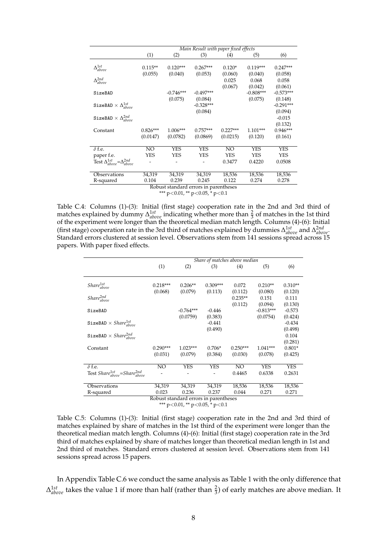|                                                    |            |             | Main Result with paper fixed effects           |            |             |             |
|----------------------------------------------------|------------|-------------|------------------------------------------------|------------|-------------|-------------|
|                                                    | (1)        | (2)         | (3)                                            | (4)        | (5)         | (6)         |
|                                                    |            |             |                                                |            |             |             |
| $\Delta_{above}^{1st}$                             | $0.115**$  | $0.120***$  | $0.267***$                                     | $0.120*$   | $0.119***$  | $0.247***$  |
|                                                    | (0.055)    | (0.040)     | (0.053)                                        | (0.060)    | (0.040)     | (0.058)     |
| $\Delta^{2nd}_{above}$                             |            |             |                                                | 0.025      | 0.068       | 0.058       |
|                                                    |            |             |                                                | (0.067)    | (0.042)     | (0.061)     |
| SizeBAD                                            |            | $-0.746***$ | $-0.497***$                                    |            | $-0.808***$ | $-0.573***$ |
|                                                    |            | (0.075)     | (0.084)                                        |            | (0.075)     | (0.148)     |
| SizeBAD $\times$ $\Delta_{above}^{1st}$            |            |             | $-0.328***$                                    |            |             | $-0.291***$ |
|                                                    |            |             | (0.084)                                        |            |             | (0.094)     |
| SizeBAD $\times$ $\Delta^{2nd}_{above}$            |            |             |                                                |            |             | $-0.015$    |
|                                                    |            |             |                                                |            |             | (0.132)     |
| Constant                                           | $0.826***$ | 1.006***    | $0.757***$                                     | $0.227***$ | $1.101***$  | $0.946***$  |
|                                                    | (0.0147)   | (0.0782)    | (0.0869)                                       | (0.0215)   | (0.120)     | (0.161)     |
|                                                    |            |             |                                                |            |             |             |
| $\delta$ f.e.                                      | NO         | <b>YES</b>  | YES                                            | NO.        | <b>YES</b>  | <b>YES</b>  |
| paper f.e.                                         | <b>YES</b> | YES         | YES                                            | <b>YES</b> | <b>YES</b>  | <b>YES</b>  |
| Test $\Delta^{1st}_{above} = \Delta^{2nd}_{above}$ |            |             |                                                | 0.3477     | 0.4220      | 0.0508      |
|                                                    |            |             |                                                |            |             |             |
| Observations                                       | 34,319     | 34,319      | 34,319                                         | 18,536     | 18,536      | 18,536      |
| R-squared                                          | 0.104      | 0.239       | 0.245                                          | 0.122      | 0.274       | 0.278       |
|                                                    |            |             | Robust standard errors in parentheses          |            |             |             |
|                                                    |            |             | *** $\sim$ 20.01 ** $\sim$ 20.05 * $\sim$ 20.1 |            |             |             |

\*\*\*  $p<0.01$ , \*\*  $p<0.05$ , \*  $p<0.1$ 

Table C.4: Columns (1)-(3): Initial (first stage) cooperation rate in the 2nd and 3rd third of matches explained by dummy  $\Delta_{above}^{1st}$  indicating whether more than  $\frac{2}{3}$  of matches in the 1st third of the experiment were longer than the theoretical median match length. Columns (4)-(6): Initial (first stage) cooperation rate in the 3rd third of matches explained by dummies ∆ 1*st above* and ∆ 2*nd above*. Standard errors clustered at session level. Observations stem from 141 sessions spread across 15 papers. With paper fixed effects.

|                                                        |                       |                                       | Share of matches above median |                       |                         |                      |
|--------------------------------------------------------|-----------------------|---------------------------------------|-------------------------------|-----------------------|-------------------------|----------------------|
|                                                        | (1)                   | (2)                                   | (3)                           | (4)                   | (5)                     | (6)                  |
| $Share^{1st}_{above}$                                  | $0.218***$<br>(0.068) | $0.206**$<br>(0.079)                  | $0.309***$<br>(0.113)         | 0.072<br>(0.112)      | $0.210**$<br>(0.080)    | $0.310**$<br>(0.120) |
| $Share^{2nd}_{above}$                                  |                       |                                       |                               | $0.235**$<br>(0.112)  | 0.151<br>(0.094)        | 0.111<br>(0.130)     |
| SizeBAD                                                |                       | $-0.764***$<br>(0.0759)               | $-0.446$<br>(0.383)           |                       | $-0.813***$<br>(0.0754) | $-0.573$<br>(0.424)  |
| SizeBAD $\times$ Share <sup>1st</sup> <sub>above</sub> |                       |                                       | $-0.441$<br>(0.490)           |                       |                         | $-0.434$<br>(0.498)  |
| SizeBAD $\times$ Share <sup>2nd</sup> <sub>above</sub> |                       |                                       |                               |                       |                         | 0.104<br>(0.281)     |
| Constant                                               | $0.290***$<br>(0.031) | $1.023***$<br>(0.079)                 | $0.706*$<br>(0.384)           | $0.250***$<br>(0.030) | $1.041***$<br>(0.078)   | $0.801*$<br>(0.425)  |
| $\delta$ f.e.                                          | NO                    | YES                                   | YES                           | $\overline{NO}$       | <b>YES</b>              | <b>YES</b>           |
| Test $Share^{1st}_{above} = Share^{2nd}_{above}$       |                       |                                       |                               | 0.4465                | 0.6338                  | 0.2631               |
| Observations                                           | 34,319                | 34,319                                | 34,319                        | 18,536                | 18,536                  | 18,536               |
| R-squared                                              | 0.023                 | 0.236                                 | 0.237                         | 0.044                 | 0.271                   | 0.271                |
|                                                        |                       | Robust standard errors in parentheses |                               |                       |                         |                      |

\*\*\* p<0.01, \*\* p<0.05, \* p<0.1

Table C.5: Columns (1)-(3): Initial (first stage) cooperation rate in the 2nd and 3rd third of matches explained by share of matches in the 1st third of the experiment were longer than the theoretical median match length. Columns (4)-(6): Initial (first stage) cooperation rate in the 3rd third of matches explained by share of matches longer than theoretical median length in 1st and 2nd third of matches. Standard errors clustered at session level. Observations stem from 141 sessions spread across 15 papers.

In Appendix Table C.6 we conduct the same analysis as Table 1 with the only difference that  $\Delta_{above}^{1st}$  takes the value 1 if more than half (rather than  $\frac{2}{3}$ ) of early matches are above median. It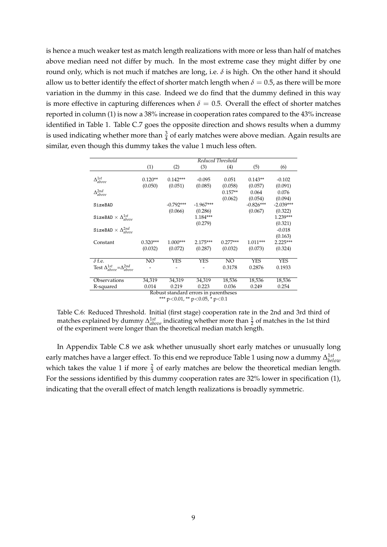is hence a much weaker test as match length realizations with more or less than half of matches above median need not differ by much. In the most extreme case they might differ by one round only, which is not much if matches are long, i.e. *δ* is high. On the other hand it should allow us to better identify the effect of shorter match length when  $\delta = 0.5$ , as there will be more variation in the dummy in this case. Indeed we do find that the dummy defined in this way is more effective in capturing differences when  $\delta = 0.5$ . Overall the effect of shorter matches reported in column (1) is now a 38% increase in cooperation rates compared to the 43% increase identified in Table 1. Table C.7 goes the opposite direction and shows results when a dummy is used indicating whether more than  $\frac{3}{4}$  of early matches were above median. Again results are similar, even though this dummy takes the value 1 much less often.

|                                                    |                 |             |                                       | Reduced Threshold |             |             |
|----------------------------------------------------|-----------------|-------------|---------------------------------------|-------------------|-------------|-------------|
|                                                    | (1)             | (2)         | (3)                                   | (4)               | (5)         | (6)         |
|                                                    |                 |             |                                       |                   |             |             |
| $\Delta_{above}^{1st}$                             | $0.120**$       | $0.142***$  | $-0.095$                              | 0.051             | $0.143**$   | $-0.102$    |
|                                                    | (0.050)         | (0.051)     | (0.085)                               | (0.058)           | (0.057)     | (0.091)     |
| $\Delta^{2nd}_{above}$                             |                 |             |                                       | $0.157**$         | 0.064       | 0.076       |
|                                                    |                 |             |                                       | (0.062)           | (0.054)     | (0.094)     |
| SizeBAD                                            |                 | $-0.792***$ | $-1.967***$                           |                   | $-0.826***$ | $-2.039***$ |
|                                                    |                 | (0.066)     | (0.286)                               |                   | (0.067)     | (0.322)     |
| SizeBAD $\times$ $\Delta^{1st}_{above}$            |                 |             | $1.184***$                            |                   |             | 1.239***    |
|                                                    |                 |             | (0.279)                               |                   |             | (0.321)     |
| SizeBAD $\times$ $\Delta^{2nd}_{above}$            |                 |             |                                       |                   |             | $-0.018$    |
|                                                    |                 |             |                                       |                   |             | (0.163)     |
| Constant                                           | $0.320***$      | $1.000***$  | $2.175***$                            | $0.277***$        | $1.011***$  | $2.225***$  |
|                                                    | (0.032)         | (0.072)     | (0.287)                               | (0.032)           | (0.073)     | (0.324)     |
|                                                    |                 |             |                                       |                   |             |             |
| $\delta$ f.e.                                      | $\overline{NO}$ | YES         | YES                                   | $\overline{NO}$   | <b>YES</b>  | YES         |
| Test $\Delta^{1st}_{above} = \Delta^{2nd}_{above}$ |                 |             |                                       | 0.3178            | 0.2876      | 0.1933      |
|                                                    |                 |             |                                       |                   |             |             |
| Observations                                       | 34,319          | 34,319      | 34,319                                | 18,536            | 18,536      | 18,536      |
| R-squared                                          | 0.014           | 0.219       | 0.223                                 | 0.036             | 0.249       | 0.254       |
|                                                    |                 |             | Robust standard errors in parentheses |                   |             |             |

\*\*\* p<0.01, \*\* p<0.05,  $\frac{*}{7}$  p<0.1

Table C.6: Reduced Threshold. Initial (first stage) cooperation rate in the 2nd and 3rd third of matches explained by dummy  $\Delta_{above}^{1st}$  indicating whether more than  $\frac{1}{2}$  of matches in the 1st third of the experiment were longer than the theoretical median match length.

In Appendix Table C.8 we ask whether unusually short early matches or unusually long early matches have a larger effect. To this end we reproduce Table 1 using now a dummy  $\Delta^{1st}_{below}$ which takes the value 1 if more  $\frac{2}{3}$  of early matches are below the theoretical median length. For the sessions identified by this dummy cooperation rates are 32% lower in specification (1), indicating that the overall effect of match length realizations is broadly symmetric.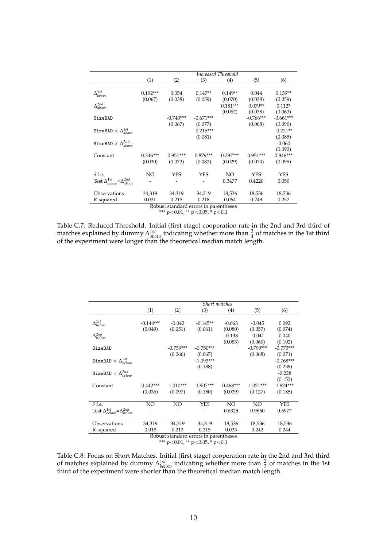|                                                          |            | Increased Threshold |                                       |            |             |             |  |  |  |
|----------------------------------------------------------|------------|---------------------|---------------------------------------|------------|-------------|-------------|--|--|--|
|                                                          | (1)        | (2)                 | (3)                                   | (4)        | (5)         | (6)         |  |  |  |
|                                                          |            |                     |                                       |            |             |             |  |  |  |
| $\Delta_{above}^{1st}$                                   | $0.192***$ | 0.054               | $0.147**$                             | $0.149**$  | 0.044       | $0.139**$   |  |  |  |
|                                                          | (0.067)    | (0.038)             | (0.059)                               | (0.070)    | (0.038)     | (0.059)     |  |  |  |
| $\Delta^{2nd}_{above}$                                   |            |                     |                                       | $0.181***$ | $0.079**$   | $0.112*$    |  |  |  |
|                                                          |            |                     |                                       | (0.062)    | (0.038)     | (0.063)     |  |  |  |
| SizeBAD                                                  |            | $-0.743***$         | $-0.671***$                           |            | $-0.766***$ | $-0.661***$ |  |  |  |
|                                                          |            | (0.067)             | (0.077)                               |            | (0.068)     | (0.090)     |  |  |  |
| SizeBAD $\times$ $\Delta^{1st}_{above}$                  |            |                     | $-0.215***$                           |            |             | $-0.221**$  |  |  |  |
|                                                          |            |                     | (0.081)                               |            |             | (0.085)     |  |  |  |
| SizeBAD $\times$ $\Delta^{2nd}_{above}$                  |            |                     |                                       |            |             | $-0.060$    |  |  |  |
|                                                          |            |                     |                                       |            |             | (0.092)     |  |  |  |
| Constant                                                 | $0.346***$ | $0.951***$          | $0.879***$                            | $0.297***$ | $0.951***$  | $0.846***$  |  |  |  |
|                                                          | (0.030)    | (0.073)             | (0.082)                               | (0.029)    | (0.074)     | (0.095)     |  |  |  |
|                                                          |            |                     |                                       |            |             |             |  |  |  |
| $\delta$ f.e.                                            | NO.        | <b>YES</b>          | <b>YES</b>                            | NO         | <b>YES</b>  | <b>YES</b>  |  |  |  |
| Test $\Delta^{1st}_{above}\!\!=\!\!\Delta^{2nd}_{above}$ |            |                     |                                       | 0.3477     | 0.4220      | 0.050       |  |  |  |
|                                                          |            |                     |                                       |            |             |             |  |  |  |
| Observations                                             | 34,319     | 34,319              | 34,319                                | 18,536     | 18,536      | 18,536      |  |  |  |
| R-squared                                                | 0.031      | 0.215               | 0.218                                 | 0.064      | 0.249       | 0.252       |  |  |  |
|                                                          |            |                     | Robust standard errors in parentheses |            |             |             |  |  |  |

\*\*\* p<0.01, \*\* p<0.05, \* p<0.1

Table C.7: Reduced Threshold. Initial (first stage) cooperation rate in the 2nd and 3rd third of matches explained by dummy  $\Delta_{above}^{1st}$  indicating whether more than  $\frac{3}{4}$  of matches in the 1st third of the experiment were longer than the theoretical median match length.

|                                                    |             |             | Short matches                         |                 |             |             |
|----------------------------------------------------|-------------|-------------|---------------------------------------|-----------------|-------------|-------------|
|                                                    | (1)         | (2)         | (3)                                   | (4)             | (5)         | (6)         |
|                                                    |             |             |                                       |                 |             |             |
| $\Delta^{1st}_{below}$                             | $-0.144***$ | $-0.042$    | $-0.145**$                            | $-0.063$        | $-0.045$    | 0.092       |
|                                                    | (0.049)     | (0.051)     | (0.061)                               | (0.080)         | (0.057)     | (0.074)     |
| $\Delta^{2nd}_{below}$                             |             |             |                                       | $-0.138$        | $-0.041$    | 0.040       |
|                                                    |             |             |                                       | (0.083)         | (0.060)     | (0.102)     |
| SizeBAD                                            |             | $-0.759***$ | $-0.750***$                           |                 | $-0.799***$ | $-0.775***$ |
|                                                    |             | (0.066)     | (0.067)                               |                 | (0.068)     | (0.071)     |
| SizeBAD $\times$ $\Delta^{1st}_{below}$            |             |             | $-1.093***$                           |                 |             | $-0.768***$ |
|                                                    |             |             | (0.188)                               |                 |             | (0.239)     |
| SizeBAD $\times$ $\Delta_{below}^{2nd}$            |             |             |                                       |                 |             | $-0.228$    |
|                                                    |             |             |                                       |                 |             | (0.152)     |
|                                                    |             |             |                                       |                 |             |             |
| Constant                                           | $0.442***$  | $1.010***$  | 1.907***                              | $0.468***$      | $1.071***$  | 1.824***    |
|                                                    | (0.036)     | (0.097)     | (0.150)                               | (0.039)         | (0.127)     | (0.185)     |
| $\delta$ f.e.                                      | NO          | NO.         | YES                                   | NO <sub>1</sub> | NO.         | <b>YES</b>  |
| Test $\Delta_{below}^{1st} = \Delta_{below}^{2nd}$ |             |             |                                       | 0.6325          | 0.9650      | 0.6977      |
|                                                    |             |             |                                       |                 |             |             |
| Observations                                       | 34,319      | 34,319      | 34,319                                | 18,536          | 18,536      | 18,536      |
| R-squared                                          | 0.018       | 0.213       | 0.215                                 | 0.033           | 0.242       | 0.244       |
|                                                    |             |             | Robust standard errors in parentheses |                 |             |             |

\*\*\* p<0.01, \*\* p<0.05, \* p<0.1

Table C.8: Focus on Short Matches. Initial (first stage) cooperation rate in the 2nd and 3rd third of matches explained by dummy  $\Delta_{below}^{1st}$  indicating whether more than  $\frac{2}{3}$  of matches in the 1st third of the experiment were shorter than the theoretical median match length.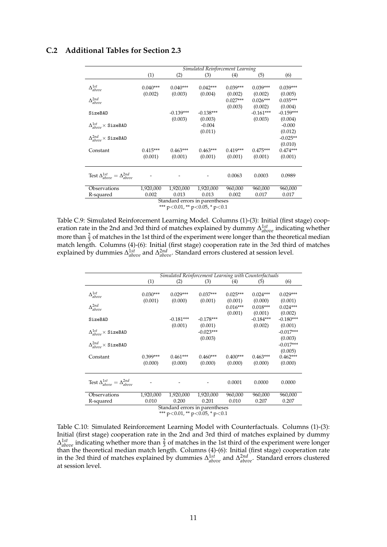### **C.2 Additional Tables for Section 2.3**

|                                             |                                    | Simulated Reinforcement Learning |            |             |                  |  |  |  |  |  |
|---------------------------------------------|------------------------------------|----------------------------------|------------|-------------|------------------|--|--|--|--|--|
| (1)                                         | (2)                                | (3)                              | (4)        | (5)         | (6)              |  |  |  |  |  |
|                                             |                                    |                                  |            |             |                  |  |  |  |  |  |
| $0.040***$                                  | $0.040***$                         | $0.042***$                       | $0.039***$ | $0.039***$  | $0.039***$       |  |  |  |  |  |
| (0.002)                                     | (0.003)                            | (0.004)                          | (0.002)    | (0.002)     | (0.005)          |  |  |  |  |  |
|                                             |                                    |                                  | $0.027***$ | $0.026***$  | $0.035***$       |  |  |  |  |  |
|                                             |                                    |                                  | (0.003)    | (0.002)     | (0.004)          |  |  |  |  |  |
|                                             | $-0.139***$                        | $-0.138***$                      |            | $-0.161***$ | $-0.159***$      |  |  |  |  |  |
|                                             | (0.003)                            | (0.003)                          |            | (0.003)     | (0.004)          |  |  |  |  |  |
|                                             |                                    | $-0.004$                         |            |             | $-0.000$         |  |  |  |  |  |
|                                             |                                    | (0.011)                          |            |             | (0.012)          |  |  |  |  |  |
|                                             |                                    |                                  |            |             | $-0.025**$       |  |  |  |  |  |
|                                             |                                    |                                  |            |             | (0.010)          |  |  |  |  |  |
|                                             |                                    | $0.463***$                       | $0.419***$ | $0.475***$  | $0.474***$       |  |  |  |  |  |
|                                             | (0.001)                            | (0.001)                          | (0.001)    | (0.001)     | (0.001)          |  |  |  |  |  |
|                                             |                                    |                                  |            |             |                  |  |  |  |  |  |
|                                             |                                    |                                  |            |             |                  |  |  |  |  |  |
|                                             |                                    |                                  | 0.0063     | 0.0003      | 0.0989           |  |  |  |  |  |
|                                             |                                    |                                  |            |             |                  |  |  |  |  |  |
|                                             |                                    |                                  |            |             | 960,000          |  |  |  |  |  |
| 0.002                                       | 0.013                              | 0.013                            | 0.002      |             | 0.017            |  |  |  |  |  |
| R-squared<br>Standard errors in parentheses |                                    |                                  |            |             |                  |  |  |  |  |  |
|                                             | $0.415***$<br>(0.001)<br>1,920,000 | $0.463***$<br>1,920,000          | 1,920,000  | 960,000     | 960,000<br>0.017 |  |  |  |  |  |

\*\*\*  $p<0.01$ , \*\*  $p<0.05$ , \*  $p<0.1$ 

Table C.9: Simulated Reinforcement Learning Model. Columns (1)-(3): Initial (first stage) cooperation rate in the 2nd and 3rd third of matches explained by dummy ∆ 1*st above* indicating whether more than  $\frac{2}{3}$  of matches in the 1st third of the experiment were longer than the theoretical median more than 3 or materies in the 1st time of the experiment were longer than the theoretical including<br>match length. Columns (4)-(6): Initial (first stage) cooperation rate in the 3rd third of matches explained by dummies Δ<sup>1st</sup><sub>above</sub> and Δ<sup>2nd</sup><sub>above</sub>. Standard errors clustered at session level.

|                                                    | Simulated Reinforcement Learning with Counterfactuals |                                                                          |             |                       |                       |                        |  |  |  |
|----------------------------------------------------|-------------------------------------------------------|--------------------------------------------------------------------------|-------------|-----------------------|-----------------------|------------------------|--|--|--|
|                                                    | (1)                                                   | (2)                                                                      | (3)         | (4)                   | (5)                   | (6)                    |  |  |  |
| $\Delta^{1st}_{above}$                             | $0.030***$                                            | $0.029***$                                                               | $0.037***$  | $0.025***$            | $0.024***$            | $0.029***$             |  |  |  |
|                                                    | (0.001)                                               | (0.000)                                                                  | (0.001)     | (0.001)               | (0.000)               | (0.001)                |  |  |  |
| $\Delta^{2nd}_{above}$                             |                                                       |                                                                          |             | $0.016***$<br>(0.001) | $0.018***$<br>(0.001) | $0.024***$<br>(0.002)  |  |  |  |
| SizeBAD                                            |                                                       | $-0.181***$                                                              | $-0.178***$ |                       | $-0.184***$           | $-0.180***$            |  |  |  |
|                                                    |                                                       | (0.001)                                                                  | (0.001)     |                       | (0.002)               | (0.001)                |  |  |  |
| $\Delta^{1st}_{above} \times$ SizeBAD              |                                                       |                                                                          | $-0.023***$ |                       |                       | $-0.017***$            |  |  |  |
| $\Delta^{2nd}_{above} \times$ SizeBAD              |                                                       |                                                                          | (0.003)     |                       |                       | (0.003)<br>$-0.017***$ |  |  |  |
|                                                    |                                                       |                                                                          |             |                       |                       | (0.005)                |  |  |  |
| Constant                                           | $0.399***$                                            | $0.461***$                                                               | $0.460***$  | $0.400***$            | $0.463***$            | $0.462***$             |  |  |  |
|                                                    | (0.000)                                               | (0.000)                                                                  | (0.000)     | (0.000)               | (0.000)               | (0.000)                |  |  |  |
|                                                    |                                                       |                                                                          |             |                       |                       |                        |  |  |  |
| Test $\Delta_{above}^{1st} = \Delta_{above}^{2nd}$ |                                                       |                                                                          |             | 0.0001                | 0.0000                | 0.0000                 |  |  |  |
| Observations                                       | 1,920,000                                             | 1,920,000                                                                | 1,920,000   | 960,000               | 960,000               | 960,000                |  |  |  |
| R-squared                                          | 0.010                                                 | 0.200                                                                    | 0.201       | 0.010                 | 0.207                 | 0.207                  |  |  |  |
|                                                    |                                                       | Standard errors in parentheses<br>*** $p<0.01$ , ** $p<0.05$ , * $p<0.1$ |             |                       |                       |                        |  |  |  |

Table C.10: Simulated Reinforcement Learning Model with Counterfactuals. Columns (1)-(3): Initial (first stage) cooperation rate in the 2nd and 3rd third of matches explained by dummy  $\Delta_{above}^{1st}$  indicating whether more than  $\frac{2}{3}$  of matches in the 1st third of the experiment were longer than the theoretical median match length. Columns (4)-(6): Initial (first stage) cooperation rate in the 3rd third of matches explained by dummies ∆ 1*st above* and ∆ 2*nd above*. Standard errors clustered at session level.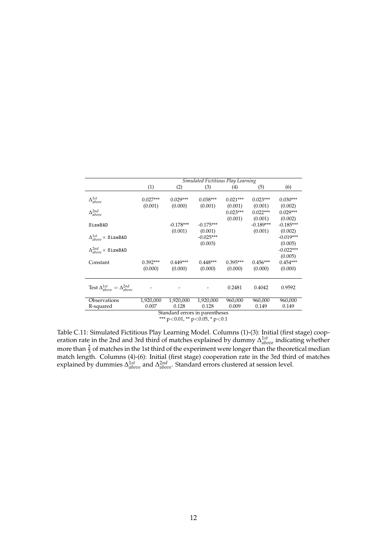|                                                    |            | Simulated Fictitious Play Learning |             |            |             |             |  |  |  |  |
|----------------------------------------------------|------------|------------------------------------|-------------|------------|-------------|-------------|--|--|--|--|
|                                                    | (1)        | (2)                                | (3)         | (4)        | (5)         | (6)         |  |  |  |  |
|                                                    |            |                                    |             |            |             |             |  |  |  |  |
| $\Delta_{above}^{1st}$                             | $0.027***$ | $0.029***$                         | $0.038***$  | $0.021***$ | $0.023***$  | $0.030***$  |  |  |  |  |
|                                                    | (0.001)    | (0.000)                            | (0.001)     | (0.001)    | (0.001)     | (0.002)     |  |  |  |  |
| $\Delta^{2nd}_{above}$                             |            |                                    |             | $0.023***$ | $0.022***$  | $0.029***$  |  |  |  |  |
|                                                    |            |                                    |             | (0.001)    | (0.001)     | (0.002)     |  |  |  |  |
| SizeBAD                                            |            | $-0.178***$                        | $-0.175***$ |            | $-0.189***$ | $-0.185***$ |  |  |  |  |
|                                                    |            | (0.001)                            | (0.001)     |            | (0.001)     | (0.002)     |  |  |  |  |
| $\Delta_{above}^{1st} \times$ SizeBAD              |            |                                    | $-0.025***$ |            |             | $-0.019***$ |  |  |  |  |
|                                                    |            |                                    | (0.003)     |            |             | (0.005)     |  |  |  |  |
| $\Delta^{2nd}_{above} \times \texttt{SizeBAD}$     |            |                                    |             |            |             | $-0.022***$ |  |  |  |  |
|                                                    |            |                                    |             |            |             | (0.005)     |  |  |  |  |
| Constant                                           | $0.392***$ | $0.449***$                         | $0.448***$  | $0.395***$ | $0.456***$  | $0.454***$  |  |  |  |  |
|                                                    | (0.000)    | (0.000)                            | (0.000)     | (0.000)    | (0.000)     | (0.000)     |  |  |  |  |
|                                                    |            |                                    |             |            |             |             |  |  |  |  |
|                                                    |            |                                    |             |            |             |             |  |  |  |  |
| Test $\Delta_{above}^{1st} = \Delta_{above}^{2nd}$ |            |                                    |             | 0.2481     | 0.4042      | 0.9592      |  |  |  |  |
|                                                    |            |                                    |             |            |             |             |  |  |  |  |
| Observations                                       | 1,920,000  | 1,920,000                          | 1,920,000   | 960,000    | 960,000     | 960,000     |  |  |  |  |
| R-squared                                          | 0.007      | 0.128                              | 0.128       | 0.009      | 0.149       | 0.149       |  |  |  |  |
|                                                    |            | Standard errors in parentheses     |             |            |             |             |  |  |  |  |

\*\*\* p<0.01, \*\* p<0.05, \* p<0.1

Table C.11: Simulated Fictitious Play Learning Model. Columns (1)-(3): Initial (first stage) cooperation rate in the 2nd and 3rd third of matches explained by dummy ∆ 1*st above* indicating whether more than  $\frac{2}{3}$  of matches in the 1st third of the experiment were longer than the theoretical median match length. Columns (4)-(6): Initial (first stage) cooperation rate in the 3rd third of matches explained by dummies Δ<sup>1st</sup><sub>above</sub> and Δ<sup>2nd</sup><sub>above</sub>. Standard errors clustered at session level.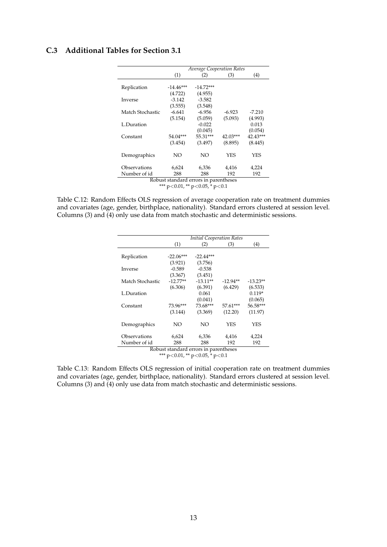## **C.3 Additional Tables for Section 3.1**

|                  |                                       | <b>Average Cooperation Rates</b> |          |          |
|------------------|---------------------------------------|----------------------------------|----------|----------|
|                  | (1)                                   | (2)                              | (3)      | (4)      |
|                  |                                       |                                  |          |          |
| Replication      | $-14.46***$                           | $-14.72***$                      |          |          |
|                  | (4.722)                               | (4.955)                          |          |          |
| Inverse          | $-3.142$                              | $-3.582$                         |          |          |
|                  | (3.555)                               | (3.548)                          |          |          |
| Match Stochastic | $-6.641$                              | $-6.956$                         | $-6.923$ | $-7.210$ |
|                  | (5.154)                               | (5.059)                          | (5.093)  | (4.993)  |
| L.Duration       |                                       | $-0.022$                         |          | 0.013    |
|                  |                                       | (0.045)                          |          | (0.054)  |
| Constant         | 54.04***                              | 55.31***                         | 42.03*** | 42.43*** |
|                  | (3.454)                               | (3.497)                          | (8.895)  | (8.445)  |
| Demographics     | NO                                    | NΟ                               | YES      | YES      |
| Observations     | 6,624                                 | 6,336                            | 4,416    | 4,224    |
| Number of id     | 288                                   | 288                              | 192      | 192      |
|                  | Robust standard errors in parentheses |                                  |          |          |
|                  | *** n<0.01 ** n<0.05 * n<0.1          |                                  |          |          |

 $p<0.01$ , \*\*  $p<0.05$ , \*  $p<0$ 

Table C.12: Random Effects OLS regression of average cooperation rate on treatment dummies and covariates (age, gender, birthplace, nationality). Standard errors clustered at session level. Columns (3) and (4) only use data from match stochastic and deterministic sessions.

|                  |             | <b>Initial Cooperation Rates</b>       |            |            |
|------------------|-------------|----------------------------------------|------------|------------|
|                  | (1)         | (2)                                    | (3)        | (4)        |
|                  |             |                                        |            |            |
| Replication      | $-22.06***$ | $-22.44***$                            |            |            |
|                  | (3.921)     | (3.756)                                |            |            |
| Inverse          | $-0.589$    | $-0.538$                               |            |            |
|                  | (3.367)     | (3.451)                                |            |            |
| Match Stochastic | $-12.77**$  | $-13.11**$                             | $-12.94**$ | $-13.23**$ |
|                  | (6.306)     | (6.391)                                | (6.429)    | (6.533)    |
| L.Duration       |             | 0.061                                  |            | $0.119*$   |
|                  |             | (0.041)                                |            | (0.065)    |
| Constant         | 73.96***    | 73.68***                               | 57.61***   | 56.58***   |
|                  | (3.144)     | (3.369)                                | (12.20)    | (11.97)    |
| Demographics     | NΟ          | NO                                     | YES        | YES        |
|                  |             |                                        |            |            |
| Observations     | 6,624       | 6,336                                  | 4,416      | 4,224      |
| Number of id     | 288         | 288                                    | 192        | 192        |
|                  |             | Robust standard errors in parentheses  |            |            |
|                  |             | *** $p<0.01$ , ** $p<0.05$ , * $p<0.1$ |            |            |

Table C.13: Random Effects OLS regression of initial cooperation rate on treatment dummies and covariates (age, gender, birthplace, nationality). Standard errors clustered at session level. Columns (3) and (4) only use data from match stochastic and deterministic sessions.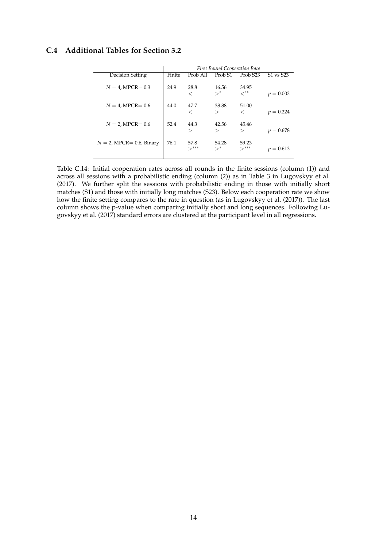## **C.4 Additional Tables for Section 3.2**

|                             | <b>First Round Cooperation Rate</b> |                           |                                      |                     |             |  |  |  |
|-----------------------------|-------------------------------------|---------------------------|--------------------------------------|---------------------|-------------|--|--|--|
| Decision Setting            | Finite                              | Prob All                  | Prob <sub>S1</sub>                   | Prob <sub>S23</sub> | S1 vs S23   |  |  |  |
| $N = 4$ , MPCR= 0.3         | 24.9                                | 28.8<br>$\,<\,$           | 16.56<br>$\searrow^*$                | 34.95<br>$<^{**}$   | $p = 0.002$ |  |  |  |
| $N = 4$ , MPCR= 0.6         | 44.0                                | 47.7<br>$\,<\,$           | 38.88<br>$\scriptscriptstyle\diagup$ | 51.00<br>$\,<\,$    | $p = 0.224$ |  |  |  |
| $N = 2$ , MPCR= 0.6         | 52.4                                | 44.3<br>$\rm{>}$          | 42.56<br>$\rm{>}$                    | 45.46<br>$\rm{>}$   | $p = 0.678$ |  |  |  |
| $N = 2$ , MPCR= 0.6, Binary | 76.1                                | 57.8<br>$\rightarrow$ *** | 54.28<br>$\searrow^*$                | 59.23<br>$>***$     | $p = 0.613$ |  |  |  |

Table C.14: Initial cooperation rates across all rounds in the finite sessions (column (1)) and across all sessions with a probabilistic ending (column (2)) as in Table 3 in Lugovskyy et al. (2017). We further split the sessions with probabilistic ending in those with initially short matches (S1) and those with initially long matches (S23). Below each cooperation rate we show how the finite setting compares to the rate in question (as in Lugovskyy et al. (2017)). The last column shows the p-value when comparing initially short and long sequences. Following Lugovskyy et al. (2017) standard errors are clustered at the participant level in all regressions.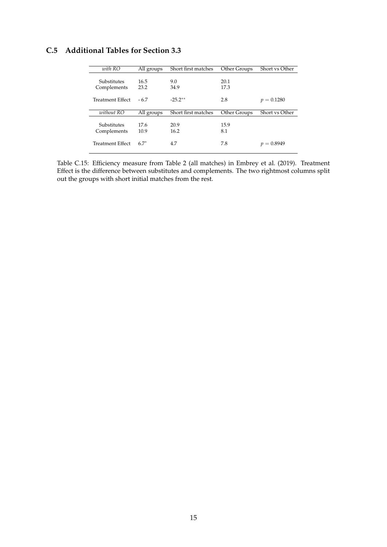## **C.5 Additional Tables for Section 3.3**

| with RO          | All groups | Short first matches | Other Groups | Short vs Other |
|------------------|------------|---------------------|--------------|----------------|
|                  |            |                     |              |                |
| Substitutes      | 16.5       | 9.0                 | 20.1         |                |
| Complements      | 23.2       | 34.9                | 17.3         |                |
|                  |            |                     |              |                |
| Treatment Effect | $-6.7$     | $-25.2**$           | 2.8          | $p = 0.1280$   |
|                  |            |                     |              |                |
|                  |            |                     |              |                |
|                  |            |                     |              |                |
| without RO       | All groups | Short first matches | Other Groups | Short vs Other |
|                  |            |                     |              |                |
| Substitutes      | 17.6       | 20.9                | 15.9         |                |
| Complements      | 10.9       | 16.2                | 8.1          |                |
|                  |            |                     |              |                |
| Treatment Effect | $6.7*$     | 4.7                 | 7.8          | $v = 0.8949$   |

Table C.15: Efficiency measure from Table 2 (all matches) in Embrey et al. (2019). Treatment Effect is the difference between substitutes and complements. The two rightmost columns split out the groups with short initial matches from the rest.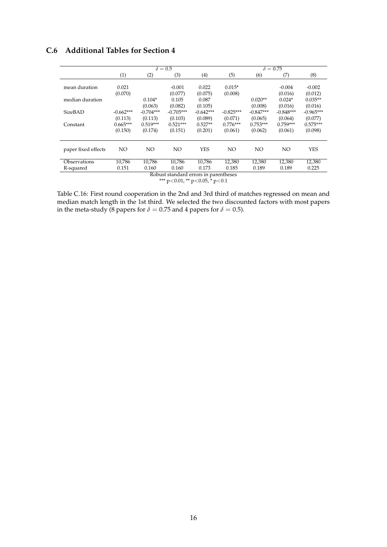## **C.6 Additional Tables for Section 4**

|                     | $\delta = 0.5$ |             |                                        |             | $\delta = 0.75$ |             |                 |             |
|---------------------|----------------|-------------|----------------------------------------|-------------|-----------------|-------------|-----------------|-------------|
|                     | (1)            | (2)         | (3)                                    | (4)         | (5)             | (6)         | (7)             | (8)         |
|                     |                |             |                                        |             |                 |             |                 |             |
| mean duration       | 0.021          |             | $-0.001$                               | 0.022       | $0.015*$        |             | $-0.004$        | $-0.002$    |
|                     | (0.070)        |             | (0.077)                                | (0.075)     | (0.008)         |             | (0.016)         | (0.012)     |
| median duration     |                | $0.104*$    | 0.105                                  | 0.087       |                 | $0.020**$   | $0.024*$        | $0.035**$   |
|                     |                | (0.063)     | (0.082)                                | (0.105)     |                 | (0.008)     | (0.016)         | (0.016)     |
| SizeBAD             | $-0.662***$    | $-0.704***$ | $-0.705***$                            | $-0.642***$ | $-0.825***$     | $-0.847***$ | $-0.848***$     | $-0.965***$ |
|                     | (0.113)        | (0.113)     | (0.103)                                | (0.089)     | (0.071)         | (0.065)     | (0.064)         | (0.077)     |
| Constant            | $0.665***$     | $0.519***$  | $0.521***$                             | $0.527**$   | $0.776***$      | $0.753***$  | $0.759***$      | $0.575***$  |
|                     | (0.150)        | (0.174)     | (0.151)                                | (0.201)     | (0.061)         | (0.062)     | (0.061)         | (0.098)     |
|                     |                |             |                                        |             |                 |             |                 |             |
|                     |                |             |                                        |             |                 |             |                 |             |
| paper fixed effects | NO             | NO.         | NO.                                    | <b>YES</b>  | NO.             | NO.         | NO <sub>1</sub> | <b>YES</b>  |
|                     |                |             |                                        |             |                 |             |                 |             |
| Observations        | 10,786         | 10,786      | 10.786                                 | 10.786      | 12,380          | 12,380      | 12,380          | 12,380      |
| R-squared           | 0.151          | 0.160       | 0.160                                  | 0.173       | 0.185           | 0.189       | 0.189           | 0.225       |
|                     |                |             | Robust standard errors in parentheses  |             |                 |             |                 |             |
|                     |                |             | *** $p<0.01$ , ** $p<0.05$ , * $p<0.1$ |             |                 |             |                 |             |

Table C.16: First round cooperation in the 2nd and 3rd third of matches regressed on mean and median match length in the 1st third. We selected the two discounted factors with most papers in the meta-study (8 papers for  $\delta = 0.75$  and 4 papers for  $\delta = 0.5$ ).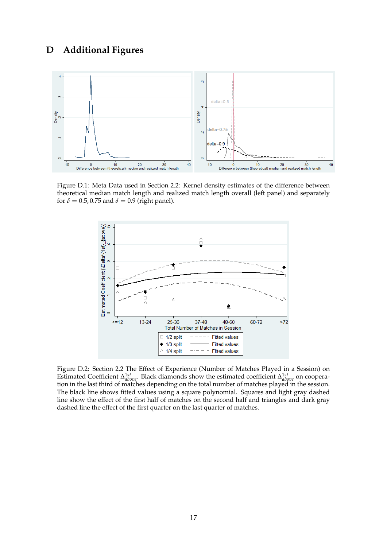## **D Additional Figures**



Figure D.1: Meta Data used in Section 2.2: Kernel density estimates of the difference between theoretical median match length and realized match length overall (left panel) and separately for  $\delta = 0.5$ , 0.75 and  $\delta = 0.9$  (right panel).



Figure D.2: Section 2.2 The Effect of Experience (Number of Matches Played in a Session) on Estimated Coefficient ∆ 1*st above*. Black diamonds show the estimated coefficient ∆ 1*st above* on cooperation in the last third of matches depending on the total number of matches played in the session. The black line shows fitted values using a square polynomial. Squares and light gray dashed line show the effect of the first half of matches on the second half and triangles and dark gray dashed line the effect of the first quarter on the last quarter of matches.